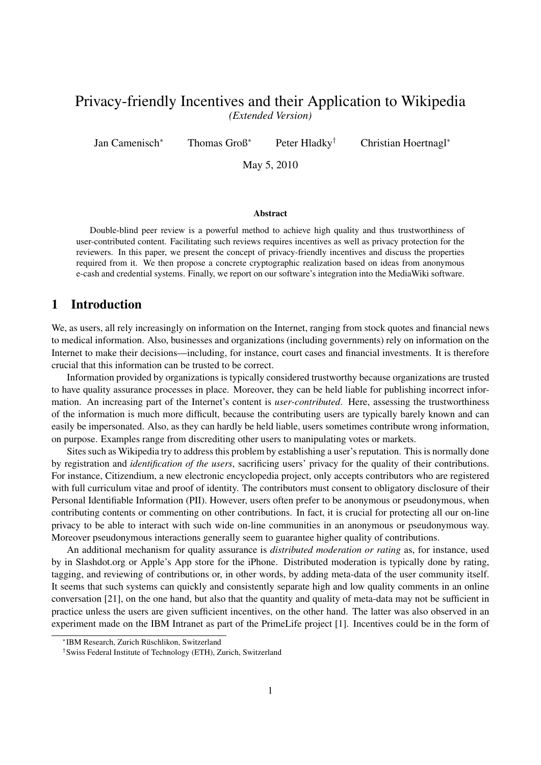# Privacy-friendly Incentives and their Application to Wikipedia *(Extended Version)*

Jan Camenisch<sup>∗</sup> Thomas Groß<sup>∗</sup> Peter Hladky† Christian Hoertnagl<sup>∗</sup>

May 5, 2010

#### **Abstract**

Double-blind peer review is a powerful method to achieve high quality and thus trustworthiness of user-contributed content. Facilitating such reviews requires incentives as well as privacy protection for the reviewers. In this paper, we present the concept of privacy-friendly incentives and discuss the properties required from it. We then propose a concrete cryptographic realization based on ideas from anonymous e-cash and credential systems. Finally, we report on our software's integration into the MediaWiki software.

# 1 Introduction

We, as users, all rely increasingly on information on the Internet, ranging from stock quotes and financial news to medical information. Also, businesses and organizations (including governments) rely on information on the Internet to make their decisions—including, for instance, court cases and financial investments. It is therefore crucial that this information can be trusted to be correct.

Information provided by organizations is typically considered trustworthy because organizations are trusted to have quality assurance processes in place. Moreover, they can be held liable for publishing incorrect information. An increasing part of the Internet's content is *user-contributed*. Here, assessing the trustworthiness of the information is much more difficult, because the contributing users are typically barely known and can easily be impersonated. Also, as they can hardly be held liable, users sometimes contribute wrong information, on purpose. Examples range from discrediting other users to manipulating votes or markets.

Sites such as Wikipedia try to address this problem by establishing a user's reputation. This is normally done by registration and *identification of the users*, sacrificing users' privacy for the quality of their contributions. For instance, Citizendium, a new electronic encyclopedia project, only accepts contributors who are registered with full curriculum vitae and proof of identity. The contributors must consent to obligatory disclosure of their Personal Identifiable Information (PII). However, users often prefer to be anonymous or pseudonymous, when contributing contents or commenting on other contributions. In fact, it is crucial for protecting all our on-line privacy to be able to interact with such wide on-line communities in an anonymous or pseudonymous way. Moreover pseudonymous interactions generally seem to guarantee higher quality of contributions.

An additional mechanism for quality assurance is *distributed moderation or rating* as, for instance, used by in Slashdot.org or Apple's App store for the iPhone. Distributed moderation is typically done by rating, tagging, and reviewing of contributions or, in other words, by adding meta-data of the user community itself. It seems that such systems can quickly and consistently separate high and low quality comments in an online conversation [21], on the one hand, but also that the quantity and quality of meta-data may not be sufficient in practice unless the users are given sufficient incentives, on the other hand. The latter was also observed in an experiment made on the IBM Intranet as part of the PrimeLife project [1]. Incentives could be in the form of

<sup>∗</sup> IBM Research, Zurich Ruschlikon, Switzerland ¨

<sup>†</sup> Swiss Federal Institute of Technology (ETH), Zurich, Switzerland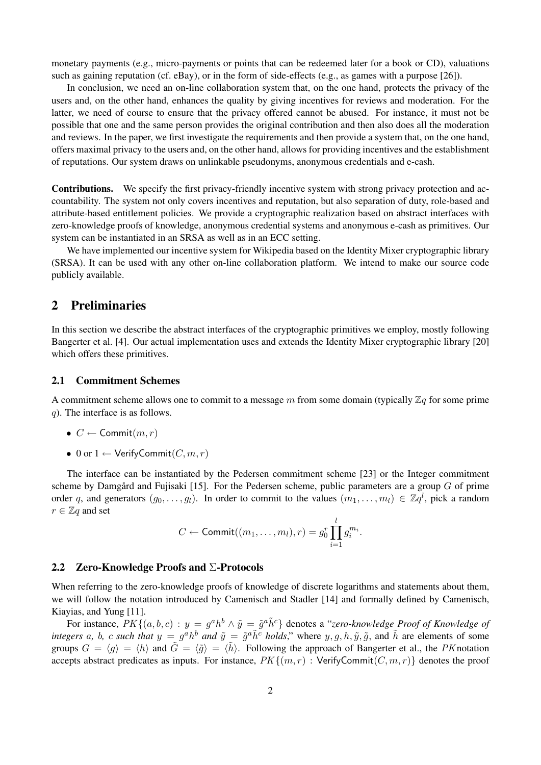monetary payments (e.g., micro-payments or points that can be redeemed later for a book or CD), valuations such as gaining reputation (cf. eBay), or in the form of side-effects (e.g., as games with a purpose [26]).

In conclusion, we need an on-line collaboration system that, on the one hand, protects the privacy of the users and, on the other hand, enhances the quality by giving incentives for reviews and moderation. For the latter, we need of course to ensure that the privacy offered cannot be abused. For instance, it must not be possible that one and the same person provides the original contribution and then also does all the moderation and reviews. In the paper, we first investigate the requirements and then provide a system that, on the one hand, offers maximal privacy to the users and, on the other hand, allows for providing incentives and the establishment of reputations. Our system draws on unlinkable pseudonyms, anonymous credentials and e-cash.

Contributions. We specify the first privacy-friendly incentive system with strong privacy protection and accountability. The system not only covers incentives and reputation, but also separation of duty, role-based and attribute-based entitlement policies. We provide a cryptographic realization based on abstract interfaces with zero-knowledge proofs of knowledge, anonymous credential systems and anonymous e-cash as primitives. Our system can be instantiated in an SRSA as well as in an ECC setting.

We have implemented our incentive system for Wikipedia based on the Identity Mixer cryptographic library (SRSA). It can be used with any other on-line collaboration platform. We intend to make our source code publicly available.

# 2 Preliminaries

In this section we describe the abstract interfaces of the cryptographic primitives we employ, mostly following Bangerter et al. [4]. Our actual implementation uses and extends the Identity Mixer cryptographic library [20] which offers these primitives.

#### 2.1 Commitment Schemes

A commitment scheme allows one to commit to a message m from some domain (typically  $\mathbb{Z}_q$  for some prime  $q$ ). The interface is as follows.

- $C \leftarrow \text{Commit}(m, r)$
- 0 or  $1 \leftarrow$  VerifyCommit $(C, m, r)$

The interface can be instantiated by the Pedersen commitment scheme [23] or the Integer commitment scheme by Damgård and Fujisaki [15]. For the Pedersen scheme, public parameters are a group  $G$  of prime order q, and generators  $(g_0, \ldots, g_l)$ . In order to commit to the values  $(m_1, \ldots, m_l) \in \mathbb{Z}_q^l$ , pick a random  $r \in \mathbb{Z}q$  and set

$$
C \leftarrow \text{Commit}((m_1, \ldots, m_l), r) = g_0^r \prod_{i=1}^l g_i^{m_i}.
$$

#### 2.2 Zero-Knowledge Proofs and Σ-Protocols

When referring to the zero-knowledge proofs of knowledge of discrete logarithms and statements about them, we will follow the notation introduced by Camenisch and Stadler [14] and formally defined by Camenisch, Kiayias, and Yung [11].

For instance,  $PK\{(a, b, c) : y = g^a h^b \wedge \tilde{y} = \tilde{g}^a \tilde{h}^c\}$  denotes a "*zero-knowledge Proof of Knowledge of integers* a, b, c such that  $y = g^a h^b$  and  $\tilde{y} = \tilde{g}^a \tilde{h}^c$  holds," where  $y, g, h, \tilde{y}, \tilde{g}$ , and  $\tilde{h}$  are elements of some groups  $G = \langle g \rangle = \langle h \rangle$  and  $\tilde{G} = \langle \tilde{g} \rangle = \langle \tilde{h} \rangle$ . Following the approach of Bangerter et al., the PK notation accepts abstract predicates as inputs. For instance,  $PK{m,r}$ : VerifyCommit $(C, m, r)$  denotes the proof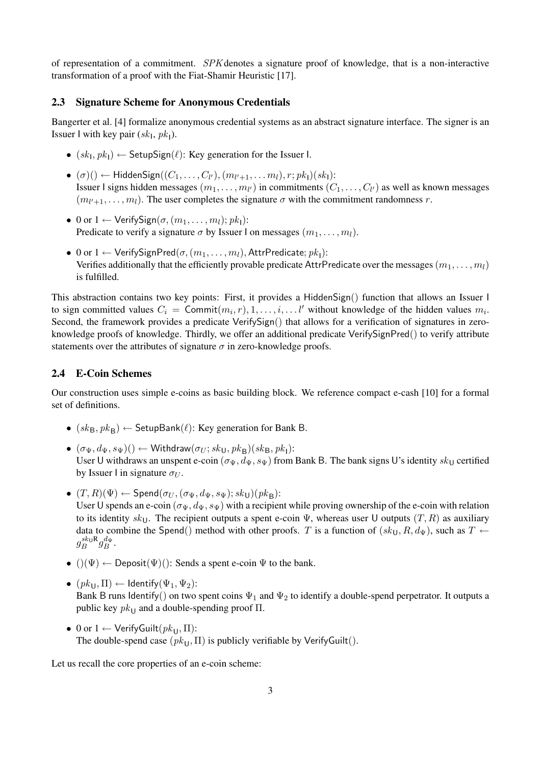of representation of a commitment. SPKdenotes a signature proof of knowledge, that is a non-interactive transformation of a proof with the Fiat-Shamir Heuristic [17].

#### 2.3 Signature Scheme for Anonymous Credentials

Bangerter et al. [4] formalize anonymous credential systems as an abstract signature interface. The signer is an Issuer I with key pair  $(sk<sub>1</sub>, pk<sub>1</sub>$ ).

- $(sk_1, pk_1$ )  $\leftarrow$  SetupSign( $\ell$ ): Key generation for the Issuer I.
- $\bullet \ \ (\sigma)(\ ) \leftarrow {\sf HiddenSign}((C_1, \ldots, C_{l'}), (m_{l'+1}, \ldots m_l), r; pk_{\mathsf{I}})(sk_{\mathsf{I}})$ : Issuer I signs hidden messages  $(m_1, \ldots, m_{l'})$  in commitments  $(C_1, \ldots, C_{l'})$  as well as known messages  $(m_{l'+1}, \ldots, m_l)$ . The user completes the signature  $\sigma$  with the commitment randomness r.
- 0 or  $1 \leftarrow$  VerifySign $(\sigma, (m_1, \ldots, m_l); pk_1)$ : Predicate to verify a signature  $\sigma$  by Issuer I on messages  $(m_1, \ldots, m_l)$ .
- $\bullet \ \ 0 \ \text{or} \ 1 \leftarrow \mathsf{VerifySignPred}(\sigma, (m_1, \ldots, m_l), \mathsf{AttrPredicate}; pk_l) \text{:}$ Verifies additionally that the efficiently provable predicate AttrPredicate over the messages  $(m_1, \ldots, m_l)$ is fulfilled.

This abstraction contains two key points: First, it provides a HiddenSign() function that allows an Issuer I to sign committed values  $C_i = \text{Commit}(m_i, r), 1, \ldots, i, \ldots, l'$  without knowledge of the hidden values  $m_i$ . Second, the framework provides a predicate VerifySign() that allows for a verification of signatures in zeroknowledge proofs of knowledge. Thirdly, we offer an additional predicate VerifySignPred() to verify attribute statements over the attributes of signature  $\sigma$  in zero-knowledge proofs.

## 2.4 E-Coin Schemes

Our construction uses simple e-coins as basic building block. We reference compact e-cash [10] for a formal set of definitions.

- $(s k_{\rm B}, p k_{\rm B}) \leftarrow$  SetupBank $(\ell)$ : Key generation for Bank B.
- $\bullet \ (\sigma_\Psi, d_\Psi, s_\Psi)(\) \leftarrow \mathsf{Without}(\sigma_U; sk_\mathsf{U}, pk_\mathsf{B}) (sk_\mathsf{B}, pk_\mathsf{I})$ : User U withdraws an unspent e-coin  $(\sigma_{\Psi}, d_{\Psi}, s_{\Psi})$  from Bank B. The bank signs U's identity  $sk_{\text{U}}$  certified by Issuer I in signature  $\sigma_U$ .
- $(T, R)(\Psi) \leftarrow$  Spend $(\sigma_U, (\sigma_{\Psi}, d_{\Psi}, s_{\Psi}); sk_U)(pk_B)$ : User U spends an e-coin ( $\sigma_{\Psi}$ ,  $d_{\Psi}$ ,  $s_{\Psi}$ ) with a recipient while proving ownership of the e-coin with relation to its identity  $sk_{U}$ . The recipient outputs a spent e-coin  $\Psi$ , whereas user U outputs  $(T, R)$  as auxiliary data to combine the Spend() method with other proofs. T is a function of  $(s_{k_1}, R, d_{\Psi})$ , such as  $T \leftarrow$  $g_B^{sk_{\mathsf{U}}\mathsf{R}} g_B^{d_{\Psi}}.$
- $()(\Psi) \leftarrow \text{Deposit}(\Psi)()$ : Sends a spent e-coin  $\Psi$  to the bank.
- $(pk_H, \Pi) \leftarrow$  Identify $(\Psi_1, \Psi_2)$ : Bank B runs Identify() on two spent coins  $\Psi_1$  and  $\Psi_2$  to identify a double-spend perpetrator. It outputs a public key  $pk$ <sup>U</sup> and a double-spending proof Π.
- 0 or  $1 \leftarrow$  VerifyGuilt $(pk_U, \Pi)$ : The double-spend case  $(pk_{\text{U}}, \Pi)$  is publicly verifiable by VerifyGuilt().

Let us recall the core properties of an e-coin scheme: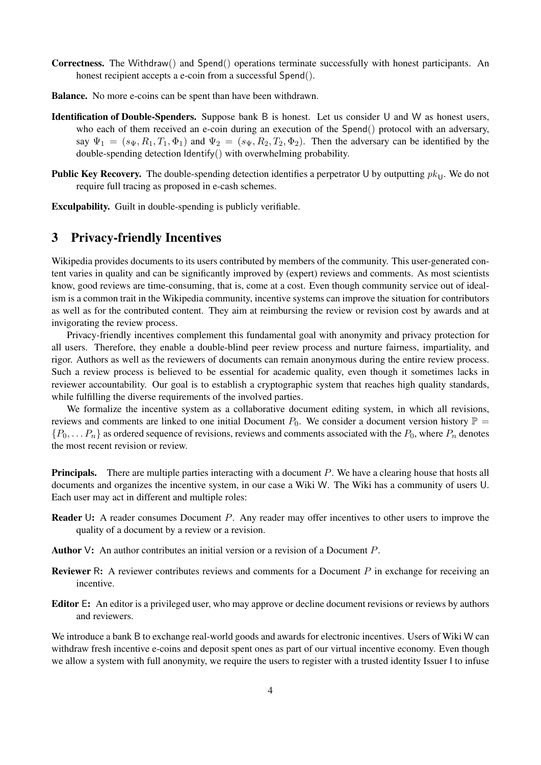- Correctness. The Withdraw() and Spend() operations terminate successfully with honest participants. An honest recipient accepts a e-coin from a successful Spend().
- Balance. No more e-coins can be spent than have been withdrawn.
- Identification of Double-Spenders. Suppose bank B is honest. Let us consider U and W as honest users, who each of them received an e-coin during an execution of the Spend() protocol with an adversary, say  $\Psi_1 = (s_{\Psi}, R_1, T_1, \Phi_1)$  and  $\Psi_2 = (s_{\Psi}, R_2, T_2, \Phi_2)$ . Then the adversary can be identified by the double-spending detection Identify() with overwhelming probability.
- **Public Key Recovery.** The double-spending detection identifies a perpetrator U by outputting  $pk_{U}$ . We do not require full tracing as proposed in e-cash schemes.

Exculpability. Guilt in double-spending is publicly verifiable.

# 3 Privacy-friendly Incentives

Wikipedia provides documents to its users contributed by members of the community. This user-generated content varies in quality and can be significantly improved by (expert) reviews and comments. As most scientists know, good reviews are time-consuming, that is, come at a cost. Even though community service out of idealism is a common trait in the Wikipedia community, incentive systems can improve the situation for contributors as well as for the contributed content. They aim at reimbursing the review or revision cost by awards and at invigorating the review process.

Privacy-friendly incentives complement this fundamental goal with anonymity and privacy protection for all users. Therefore, they enable a double-blind peer review process and nurture fairness, impartiality, and rigor. Authors as well as the reviewers of documents can remain anonymous during the entire review process. Such a review process is believed to be essential for academic quality, even though it sometimes lacks in reviewer accountability. Our goal is to establish a cryptographic system that reaches high quality standards, while fulfilling the diverse requirements of the involved parties.

We formalize the incentive system as a collaborative document editing system, in which all revisions, reviews and comments are linked to one initial Document  $P_0$ . We consider a document version history  $\mathbb{P} =$  ${P_0, \ldots, P_n}$  as ordered sequence of revisions, reviews and comments associated with the  $P_0$ , where  $P_n$  denotes the most recent revision or review.

**Principals.** There are multiple parties interacting with a document  $P$ . We have a clearing house that hosts all documents and organizes the incentive system, in our case a Wiki W. The Wiki has a community of users U. Each user may act in different and multiple roles:

- Reader U: A reader consumes Document P. Any reader may offer incentives to other users to improve the quality of a document by a review or a revision.
- Author V: An author contributes an initial version or a revision of a Document P.
- **Reviewer R:** A reviewer contributes reviews and comments for a Document  $P$  in exchange for receiving an incentive.
- Editor E: An editor is a privileged user, who may approve or decline document revisions or reviews by authors and reviewers.

We introduce a bank B to exchange real-world goods and awards for electronic incentives. Users of Wiki W can withdraw fresh incentive e-coins and deposit spent ones as part of our virtual incentive economy. Even though we allow a system with full anonymity, we require the users to register with a trusted identity Issuer I to infuse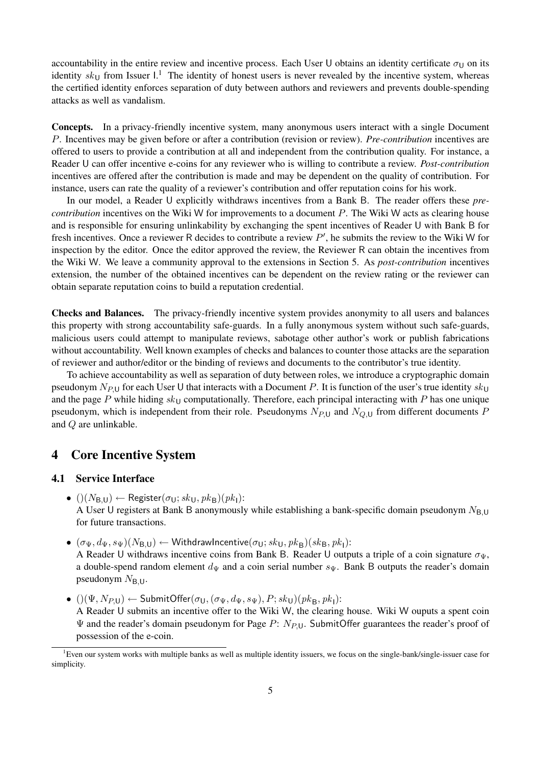accountability in the entire review and incentive process. Each User U obtains an identity certificate  $\sigma_U$  on its identity  $sk_{U}$  from Issuer  $L^{1}$  The identity of honest users is never revealed by the incentive system, whereas the certified identity enforces separation of duty between authors and reviewers and prevents double-spending attacks as well as vandalism.

Concepts. In a privacy-friendly incentive system, many anonymous users interact with a single Document P. Incentives may be given before or after a contribution (revision or review). *Pre-contribution* incentives are offered to users to provide a contribution at all and independent from the contribution quality. For instance, a Reader U can offer incentive e-coins for any reviewer who is willing to contribute a review. *Post-contribution* incentives are offered after the contribution is made and may be dependent on the quality of contribution. For instance, users can rate the quality of a reviewer's contribution and offer reputation coins for his work.

In our model, a Reader U explicitly withdraws incentives from a Bank B. The reader offers these *precontribution* incentives on the Wiki W for improvements to a document P. The Wiki W acts as clearing house and is responsible for ensuring unlinkability by exchanging the spent incentives of Reader U with Bank B for fresh incentives. Once a reviewer R decides to contribute a review  $P'$ , he submits the review to the Wiki W for inspection by the editor. Once the editor approved the review, the Reviewer R can obtain the incentives from the Wiki W. We leave a community approval to the extensions in Section 5. As *post-contribution* incentives extension, the number of the obtained incentives can be dependent on the review rating or the reviewer can obtain separate reputation coins to build a reputation credential.

Checks and Balances. The privacy-friendly incentive system provides anonymity to all users and balances this property with strong accountability safe-guards. In a fully anonymous system without such safe-guards, malicious users could attempt to manipulate reviews, sabotage other author's work or publish fabrications without accountability. Well known examples of checks and balances to counter those attacks are the separation of reviewer and author/editor or the binding of reviews and documents to the contributor's true identity.

To achieve accountability as well as separation of duty between roles, we introduce a cryptographic domain pseudonym  $N_{P,U}$  for each User U that interacts with a Document P. It is function of the user's true identity  $sk_U$ and the page P while hiding  $sk_U$  computationally. Therefore, each principal interacting with P has one unique pseudonym, which is independent from their role. Pseudonyms  $N_{P,U}$  and  $N_{Q,U}$  from different documents P and Q are unlinkable.

# 4 Core Incentive System

### 4.1 Service Interface

- $\bullet$   $() (N_{\mathsf{B}, \mathsf{U}}) \leftarrow \mathsf{Register}(\sigma_\mathsf{U}; \mathit{sk}_\mathsf{U}, \mathit{pk}_\mathsf{B}) (\mathit{pk}_\mathsf{I})$ : A User U registers at Bank B anonymously while establishing a bank-specific domain pseudonym  $N_{B,U}$ for future transactions.
- $\bullet$   $(\sigma_\Psi, d_\Psi, s_\Psi)(N_{\mathsf{B}, \mathsf{U}}) \leftarrow \mathsf{Without}$ ncentive $(\sigma_\mathsf{U}; sk_\mathsf{U}, pk_\mathsf{B}) (sk_\mathsf{B}, pk_\mathsf{I})$ :

A Reader U withdraws incentive coins from Bank B. Reader U outputs a triple of a coin signature  $\sigma_{\Psi}$ , a double-spend random element  $d_{\Psi}$  and a coin serial number  $s_{\Psi}$ . Bank B outputs the reader's domain pseudonym  $N_{\rm B, U}$ .

 $\bullet$   $()(\Psi, N_{P,\mathsf{U}}) \leftarrow \mathsf{SubmitOffer}(\sigma_{\mathsf{U}}, (\sigma_{\Psi}, d_{\Psi}, s_{\Psi}), P; sk_{\mathsf{U}})(pk_{\mathsf{B}}, pk_{\mathsf{I}})$ : A Reader U submits an incentive offer to the Wiki W, the clearing house. Wiki W ouputs a spent coin  $\Psi$  and the reader's domain pseudonym for Page P:  $N_{P,U}$ . SubmitOffer guarantees the reader's proof of possession of the e-coin.

<sup>&</sup>lt;sup>1</sup>Even our system works with multiple banks as well as multiple identity issuers, we focus on the single-bank/single-issuer case for simplicity.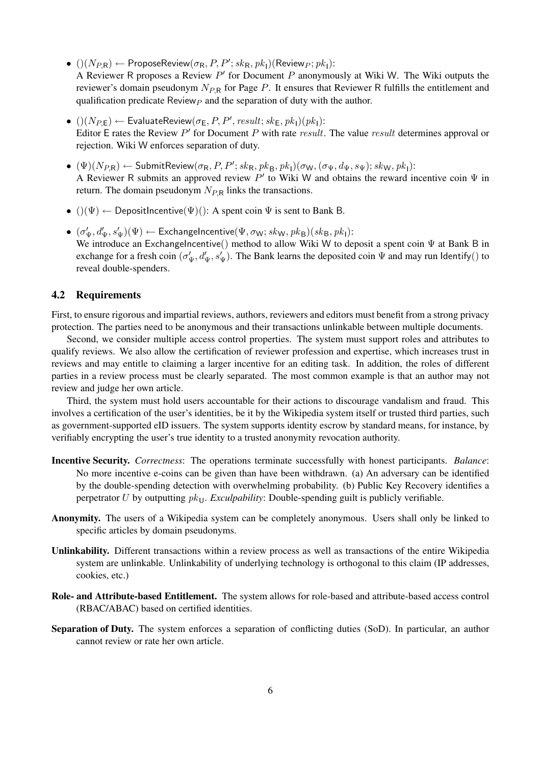- $\bullet$   $\phi((N_{P,\mathsf{R}}) \leftarrow \mathsf{ProposeReview}(\sigma_{\mathsf{R}}, P, P'; sk_{\mathsf{R}}, pk_{\mathsf{I}})(\mathsf{Review}_P; pk_{\mathsf{I}}):$ A Reviewer R proposes a Review  $P'$  for Document P anonymously at Wiki W. The Wiki outputs the reviewer's domain pseudonym  $N_{PR}$  for Page P. It ensures that Reviewer R fulfills the entitlement and qualification predicate Review<sub>P</sub> and the separation of duty with the author.
- $((N_{P,E}) \leftarrow$  EvaluateReview $(\sigma_E, P, P', result; sk_E, pk_1)(pk_1)$ : Editor E rates the Review  $P'$  for Document P with rate result. The value result determines approval or rejection. Wiki W enforces separation of duty.
- $\bullet \, (\Psi)(N_{P,\mathsf{R}}) \leftarrow \mathsf{SubmitReview}(\sigma_{\mathsf{R}},P,P';sk_{\mathsf{R}},pk_{\mathsf{B}},pk_{\mathsf{I}})(\sigma_{\mathsf{W}},(\sigma_{\Psi},d_{\Psi},s_{\Psi});sk_{\mathsf{W}},pk_{\mathsf{I}})$ A Reviewer R submits an approved review  $P'$  to Wiki W and obtains the reward incentive coin  $\Psi$  in return. The domain pseudonym  $N_{PR}$  links the transactions.
- $(\cdot)(\Psi) \leftarrow$  DepositIncentive $(\Psi)(\cdot)$ : A spent coin  $\Psi$  is sent to Bank B.
- $\bullet \ \ (\sigma'_{\Psi}, d'_{\Psi}, s'_{\Psi})(\Psi) \leftarrow \textsf{ExchangeIncentive}(\Psi, \sigma_{\mathsf{W}}; \mathit{sk}_{\mathsf{W}}, \mathit{pk}_{\mathsf{B}})(\mathit{sk}_{\mathsf{B}}, \mathit{pk}_{\mathsf{I}})$ : We introduce an ExchangeIncentive() method to allow Wiki W to deposit a spent coin Ψ at Bank B in exchange for a fresh coin  $(\sigma'_\Psi, d'_\Psi, s'_\Psi)$ . The Bank learns the deposited coin  $\Psi$  and may run Identify() to reveal double-spenders.

#### 4.2 Requirements

First, to ensure rigorous and impartial reviews, authors, reviewers and editors must benefit from a strong privacy protection. The parties need to be anonymous and their transactions unlinkable between multiple documents.

Second, we consider multiple access control properties. The system must support roles and attributes to qualify reviews. We also allow the certification of reviewer profession and expertise, which increases trust in reviews and may entitle to claiming a larger incentive for an editing task. In addition, the roles of different parties in a review process must be clearly separated. The most common example is that an author may not review and judge her own article.

Third, the system must hold users accountable for their actions to discourage vandalism and fraud. This involves a certification of the user's identities, be it by the Wikipedia system itself or trusted third parties, such as government-supported eID issuers. The system supports identity escrow by standard means, for instance, by verifiably encrypting the user's true identity to a trusted anonymity revocation authority.

- Incentive Security. *Correctness*: The operations terminate successfully with honest participants. *Balance*: No more incentive e-coins can be given than have been withdrawn. (a) An adversary can be identified by the double-spending detection with overwhelming probability. (b) Public Key Recovery identifies a perpetrator U by outputting  $pk_{U}$ . *Exculpability*: Double-spending guilt is publicly verifiable.
- Anonymity. The users of a Wikipedia system can be completely anonymous. Users shall only be linked to specific articles by domain pseudonyms.
- Unlinkability. Different transactions within a review process as well as transactions of the entire Wikipedia system are unlinkable. Unlinkability of underlying technology is orthogonal to this claim (IP addresses, cookies, etc.)
- Role- and Attribute-based Entitlement. The system allows for role-based and attribute-based access control (RBAC/ABAC) based on certified identities.
- Separation of Duty. The system enforces a separation of conflicting duties (SoD). In particular, an author cannot review or rate her own article.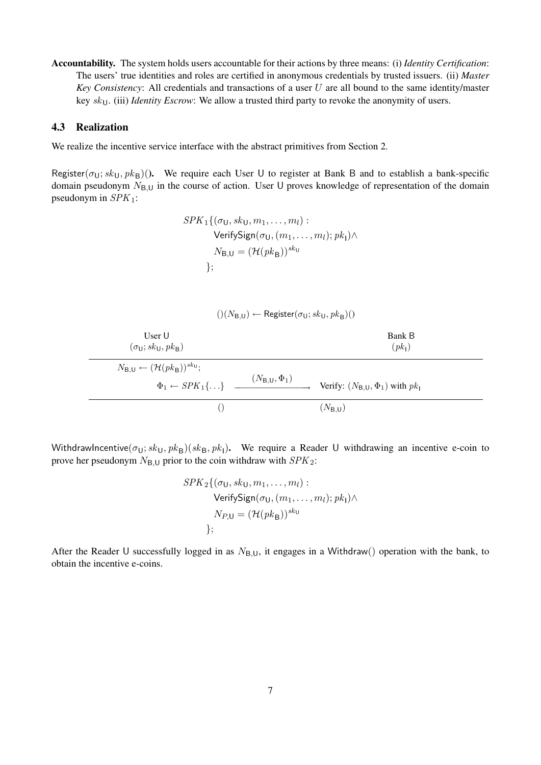Accountability. The system holds users accountable for their actions by three means: (i) *Identity Certification*: The users' true identities and roles are certified in anonymous credentials by trusted issuers. (ii) *Master Key Consistency*: All credentials and transactions of a user U are all bound to the same identity/master key sk<sub>U</sub>. (iii) *Identity Escrow*: We allow a trusted third party to revoke the anonymity of users.

## 4.3 Realization

We realize the incentive service interface with the abstract primitives from Section 2.

Register( $\sigma_U$ ; sk<sub>U</sub>,  $pk_B$ )(). We require each User U to register at Bank B and to establish a bank-specific domain pseudonym  $N_{B,U}$  in the course of action. User U proves knowledge of representation of the domain pseudonym in  $SPK<sub>1</sub>$ :

$$
SPK_1\{(\sigma_{\mathsf{U}}, sk_{\mathsf{U}}, m_1, \dots, m_l) :
$$
  
VerifySign $(\sigma_{\mathsf{U}}, (m_1, \dots, m_l); pk_1) \wedge$   

$$
N_{\mathsf{B},\mathsf{U}} = (\mathcal{H}(pk_{\mathsf{B}}))^{sk_{\mathsf{U}}}
$$

$$
\};
$$

$$
() (N_{\mathsf{B}, \mathsf{U}}) \leftarrow \mathsf{Register}(\sigma_\mathsf{U}; \mathit{sk}_\mathsf{U}, \mathit{pk}_\mathsf{B})()
$$

| User U<br>$(\sigma_{\mathsf{U}}; sk_{\mathsf{U}}, pk_{\mathsf{B}})$                                                                                                              | Bank B<br>$(pk_1)$                      |
|----------------------------------------------------------------------------------------------------------------------------------------------------------------------------------|-----------------------------------------|
| $N_{\text{B,U}} \leftarrow (\mathcal{H}(pk_{\text{B}}))^{sk_{\text{U}}};$<br>$\Phi_1 \leftarrow SPK_1\{\ldots\}$ $\qquad \qquad \underbrace{(N_{\mathsf{B},\mathsf{U}},\Phi_1)}$ | Verify: $(N_{B,U}, \Phi_1)$ with $pk_1$ |
|                                                                                                                                                                                  | $(N_{\mathsf{B},\mathsf{U}})$           |

WithdrawIncentive $(\sigma_{\sf U}; sk_{\sf U}, pk_{\sf B}) (sk_{\sf B}, pk_{\sf I})$ . We require a Reader U withdrawing an incentive e-coin to prove her pseudonym  $N_{B,U}$  prior to the coin withdraw with  $SPK_2$ :

$$
SPK_2\{(\sigma_U, sk_U, m_1, \dots, m_l) :
$$
  
VerifySign $(\sigma_U, (m_1, \dots, m_l); pk_1) \wedge$   

$$
N_{P,U} = (\mathcal{H}(pk_B))^{sk_U}
$$
  
};

After the Reader U successfully logged in as  $N_{B,U}$ , it engages in a Withdraw() operation with the bank, to obtain the incentive e-coins.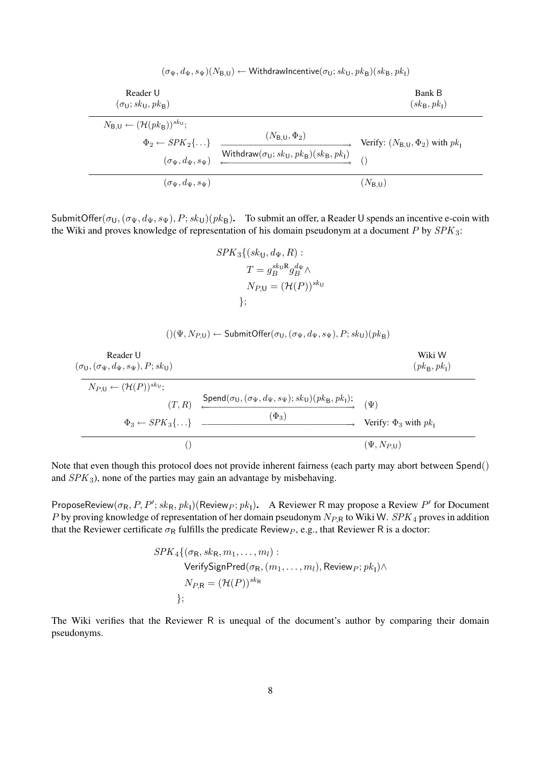| Reader U<br>$(\sigma_U; sk_U, pk_B)$                                                                       |                                                                                                                                                                                     | Bank B<br>$(sk_{\mathsf{B}}, pk_{\mathsf{I}})$ |
|------------------------------------------------------------------------------------------------------------|-------------------------------------------------------------------------------------------------------------------------------------------------------------------------------------|------------------------------------------------|
| $N_{\rm B,U} \leftarrow (\mathcal{H}(pk_{\rm B}))^{sk_{\rm U}};$<br>$\Phi_2 \leftarrow SPK_2 \{ \ldots \}$ | $(N_{\mathsf{B}.\mathsf{U}}, \Phi_2)$<br>$(\sigma_{\Psi}, d_{\Psi}, s_{\Psi})$ Withdraw $(\sigma_{\mathsf{U}}; sk_{\mathsf{U}}, pk_{\mathsf{B}})(sk_{\mathsf{B}}, pk_{\mathsf{I}})$ | Verify: $(N_{B,U}, \Phi_2)$ with $pk_1$        |
| $(\sigma_{\Psi}, d_{\Psi}, s_{\Psi})$                                                                      |                                                                                                                                                                                     | $\langle N_{\mathsf{B},\mathsf{U}})$           |

 $(\sigma_{\Psi}, d_{\Psi}, s_{\Psi})(N_{B,U}) \leftarrow$  WithdrawIncentive $(\sigma_{U}; sk_{U}, pk_{B})(sk_{B}, pk_{I})$ 

SubmitOffer( $\sigma_U, (\sigma_\Psi, d_\Psi, s_\Psi), P; sk_U$ )( $pk_B$ ). To submit an offer, a Reader U spends an incentive e-coin with the Wiki and proves knowledge of representation of his domain pseudonym at a document  $P$  by  $SPK<sub>3</sub>$ :

$$
SPK_3\{(sk_{\mathsf{U}}, d_{\Psi}, R) : \nT = g_B^{sk_{\mathsf{U}}R} g_B^{d_{\Psi}} \wedge \nN_{P, \mathsf{U}} = (\mathcal{H}(P))^{sk_{\mathsf{U}}} \n};
$$

 $((\Psi, N_{P,U}) \leftarrow$  SubmitOffer $(\sigma_U, (\sigma_{\Psi}, d_{\Psi}, s_{\Psi}), P; sk_U)(pk_B)$ 

$$
\begin{array}{cccc}\n\text{Reader U} & \text{Wiki W} \\
(\sigma_{\mathsf{U}}, (\sigma_{\Psi}, d_{\Psi}, s_{\Psi}), P; sk_{\mathsf{U}}) & (\mathit{pk}_{\mathsf{B}}, \mathit{pk}_{\mathsf{I}}) \\
\hline\nN_{P, \mathsf{U}} \leftarrow (\mathcal{H}(P))^{sk_{\mathsf{U}}}, & \\
(T, R) & \xleftarrow{\text{Spend}(\sigma_{\mathsf{U}}, (\sigma_{\Psi}, d_{\Psi}, s_{\Psi}); sk_{\mathsf{U}})(\mathit{pk}_{\mathsf{B}}, \mathit{pk}_{\mathsf{I}}); \\
\Phi_3 \leftarrow SPK_3 \{ \dots \} & \xleftarrow{\text{(}\Phi_3\)} & \text{Verify: } \Phi_3 \text{ with } \mathit{pk}_{\mathsf{I}} \\
\hline\n & & (\Psi, N_{P, \mathsf{U}}) & \xleftarrow{\text{(}\Phi_3\)} & \text{Verify: } \Phi_3 \text{ with } \mathit{pk}_{\mathsf{I}}\n\end{array}
$$

Note that even though this protocol does not provide inherent fairness (each party may abort between Spend() and  $SPK<sub>3</sub>$ ), none of the parties may gain an advantage by misbehaving.

ProposeReview $(\sigma_R, P, P'; sk_R, pk_1)$ (Review $p; pk_1$ ). A Reviewer R may propose a Review  $P'$  for Document P by proving knowledge of representation of her domain pseudonym  $N_{P,R}$  to Wiki W.  $SPK_4$  proves in addition that the Reviewer certificate  $\sigma_R$  fulfills the predicate Review<sub>P</sub>, e.g., that Reviewer R is a doctor:

$$
SPK_4\{(\sigma_R, sk_R, m_1, \dots, m_l) :
$$
  
VerifySignPred( $\sigma_R$ , ( $m_1, \dots, m_l$ ), Review<sub>P</sub>;  $pk_l$ ) $\land$   
 $N_{P,R} = (\mathcal{H}(P))^{sk_R}$   
};

The Wiki verifies that the Reviewer R is unequal of the document's author by comparing their domain pseudonyms.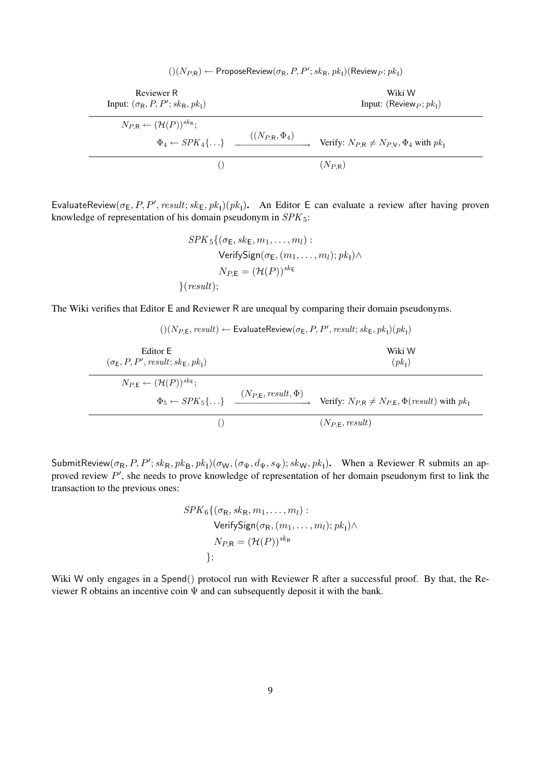| Reviewer R<br>Input: $(\sigma_R, P, P'; sk_R, pk_1)$                                                                                                               | Wiki W<br>Input: (Review <sub>P</sub> ; $pk_1$ )   |
|--------------------------------------------------------------------------------------------------------------------------------------------------------------------|----------------------------------------------------|
| $N_{P,\mathsf{R}} \leftarrow (\mathcal{H}(P))^{sk_{\mathsf{R}}};$<br>$\Phi_4 \leftarrow SPK_4\{\ldots\}$ $\qquad \qquad \frac{((N_{P,\mathsf{R}}, \Phi_4))}{\sim}$ | Verify: $N_{P,R} \neq N_{P,V}, \Phi_4$ with $pk_1$ |
|                                                                                                                                                                    | $(N_{PR})$                                         |

 $\label{eq:expansion} \text{()}(N_{P,\text{R}}) \leftarrow \text{ProposeReview}(\sigma_{\text{R}}, P, P'; sk_{\text{R}}, pk_{\text{I}}) \text{(Review}_{P}; pk_{\text{I}})$ 

EvaluateReview $(\sigma_E, P, P', result; sk_E, pk_1)(pk_1)$ . An Editor E can evaluate a review after having proven knowledge of representation of his domain pseudonym in  $SPK_5$ :

$$
SPK_5\{(\sigma_{\mathsf{E}}, sk_{\mathsf{E}}, m_1, \dots, m_l) :
$$
  
VerifySign $(\sigma_{\mathsf{E}}, (m_1, \dots, m_l); pk_1) \land$   

$$
N_{P, \mathsf{E}} = (\mathcal{H}(P))^{sk_{\mathsf{E}}}
$$
  

$$
\}(result);
$$

The Wiki verifies that Editor E and Reviewer R are unequal by comparing their domain pseudonyms.

$$
(()(N_{P,E}, result) \leftarrow EvaluateReview(\sigma_{E}, P, P', result; sk_{E}, pk_{1})(pk_{1})
$$
  
Editor E  

$$
(F_{E}, P, P', result; sk_{E}, pk_{1})
$$
 
$$
(pk_{1})
$$
  

$$
N_{P,E} \leftarrow (\mathcal{H}(P))^{sk_{E}};
$$
  

$$
\Phi_{5} \leftarrow SPK_{5}\{... \} \xrightarrow{(N_{P,E}, result, \Phi)} Verify: N_{P,R} \neq N_{P,E}, \Phi(result) with pk_{1}
$$
  

$$
(N_{P,E}, result)
$$

SubmitReview $(\sigma_R, P, P'; sk_R, pk_B, pk_1)(\sigma_W, (\sigma_\Psi, d_\Psi, s_\Psi); sk_W, pk_1)$ . When a Reviewer R submits an approved review  $P'$ , she needs to prove knowledge of representation of her domain pseudonym first to link the transaction to the previous ones:

$$
SPK_6\{(\sigma_R, sk_R, m_1, \dots, m_l) :
$$
  
VerifySign $(\sigma_R, (m_1, \dots, m_l); pk_1) \land$   

$$
N_{P,R} = (\mathcal{H}(P))^{sk_R}
$$
  
};

Wiki W only engages in a Spend() protocol run with Reviewer R after a successful proof. By that, the Reviewer R obtains an incentive coin  $\Psi$  and can subsequently deposit it with the bank.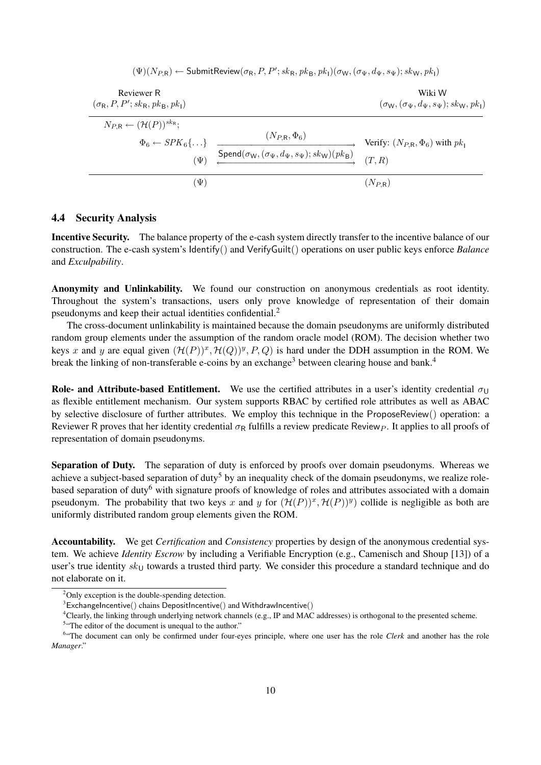| Reviewer R<br>$(\sigma_{\mathsf{R}}, P, P'; sk_{\mathsf{R}}, pk_{\mathsf{B}}, pk_{\mathsf{I}})$     |                                                                                      | Wiki W<br>$(\sigma_{\mathsf{W}}, (\sigma_{\Psi}, d_{\Psi}, s_{\Psi}); sk_{\mathsf{W}}, pk_{\mathsf{I}})$ |
|-----------------------------------------------------------------------------------------------------|--------------------------------------------------------------------------------------|----------------------------------------------------------------------------------------------------------|
| $N_{P,R} \leftarrow (\mathcal{H}(P))^{sk_R};$<br>$\Phi_6 \leftarrow SPK_6 \{ \ldots \}$<br>$(\Psi)$ | $(N_{P,R}, \Phi_6)$<br>Spend $(\sigma_W, (\sigma_\Psi, d_\Psi, s_\Psi); sk_W)(pk_B)$ | Verify: $(N_{P,R}, \Phi_6)$ with $pk_1$<br>(T,R)                                                         |
| $\langle \Psi \rangle$                                                                              |                                                                                      | $(N_{PR})$                                                                                               |

 $(\Psi)(N_{P,\mathsf{R}}) \leftarrow \mathsf{SubmitReview}(\sigma_{\mathsf{R}},P,P';sk_{\mathsf{R}},pk_{\mathsf{B}},pk_{\mathsf{I}})(\sigma_{\mathsf{W}},(\sigma_{\Psi},d_{\Psi},s_{\Psi});sk_{\mathsf{W}},pk_{\mathsf{I}})$ 

### 4.4 Security Analysis

Incentive Security. The balance property of the e-cash system directly transfer to the incentive balance of our construction. The e-cash system's Identify() and VerifyGuilt() operations on user public keys enforce *Balance* and *Exculpability*.

Anonymity and Unlinkability. We found our construction on anonymous credentials as root identity. Throughout the system's transactions, users only prove knowledge of representation of their domain pseudonyms and keep their actual identities confidential.<sup>2</sup>

The cross-document unlinkability is maintained because the domain pseudonyms are uniformly distributed random group elements under the assumption of the random oracle model (ROM). The decision whether two keys x and y are equal given  $(\mathcal{H}(P))^x$ ,  $\mathcal{H}(Q))^y$ ,  $P$ ,  $Q$ ) is hard under the DDH assumption in the ROM. We break the linking of non-transferable e-coins by an exchange<sup>3</sup> between clearing house and bank.<sup>4</sup>

Role- and Attribute-based Entitlement. We use the certified attributes in a user's identity credential  $\sigma_U$ as flexible entitlement mechanism. Our system supports RBAC by certified role attributes as well as ABAC by selective disclosure of further attributes. We employ this technique in the ProposeReview() operation: a Reviewer R proves that her identity credential  $\sigma_R$  fulfills a review predicate Review<sub>P</sub>. It applies to all proofs of representation of domain pseudonyms.

Separation of Duty. The separation of duty is enforced by proofs over domain pseudonyms. Whereas we achieve a subject-based separation of duty<sup>5</sup> by an inequality check of the domain pseudonyms, we realize rolebased separation of duty<sup>6</sup> with signature proofs of knowledge of roles and attributes associated with a domain pseudonym. The probability that two keys x and y for  $(\mathcal{H}(P))^x$ ,  $\mathcal{H}(P))^y$  collide is negligible as both are uniformly distributed random group elements given the ROM.

Accountability. We get *Certification* and *Consistency* properties by design of the anonymous credential system. We achieve *Identity Escrow* by including a Verifiable Encryption (e.g., Camenisch and Shoup [13]) of a user's true identity  $sk_{U}$  towards a trusted third party. We consider this procedure a standard technique and do not elaborate on it.

<sup>&</sup>lt;sup>2</sup>Only exception is the double-spending detection.

 $3$ ExchangeIncentive $()$  chains DepositIncentive $()$  and WithdrawIncentive $()$ 

<sup>&</sup>lt;sup>4</sup>Clearly, the linking through underlying network channels (e.g., IP and MAC addresses) is orthogonal to the presented scheme.

<sup>&</sup>lt;sup>5</sup>"The editor of the document is unequal to the author."

<sup>&</sup>lt;sup>6</sup> The document can only be confirmed under four-eyes principle, where one user has the role *Clerk* and another has the role *Manager*."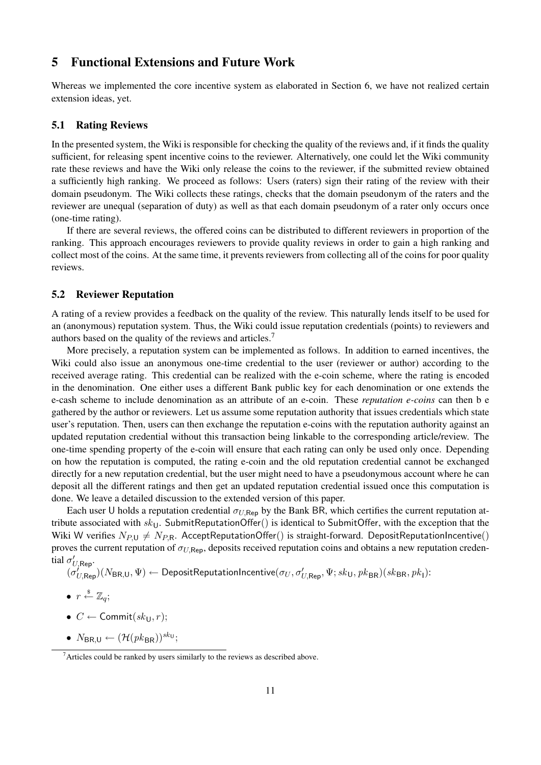# 5 Functional Extensions and Future Work

Whereas we implemented the core incentive system as elaborated in Section 6, we have not realized certain extension ideas, yet.

## 5.1 Rating Reviews

In the presented system, the Wiki is responsible for checking the quality of the reviews and, if it finds the quality sufficient, for releasing spent incentive coins to the reviewer. Alternatively, one could let the Wiki community rate these reviews and have the Wiki only release the coins to the reviewer, if the submitted review obtained a sufficiently high ranking. We proceed as follows: Users (raters) sign their rating of the review with their domain pseudonym. The Wiki collects these ratings, checks that the domain pseudonym of the raters and the reviewer are unequal (separation of duty) as well as that each domain pseudonym of a rater only occurs once (one-time rating).

If there are several reviews, the offered coins can be distributed to different reviewers in proportion of the ranking. This approach encourages reviewers to provide quality reviews in order to gain a high ranking and collect most of the coins. At the same time, it prevents reviewers from collecting all of the coins for poor quality reviews.

## 5.2 Reviewer Reputation

A rating of a review provides a feedback on the quality of the review. This naturally lends itself to be used for an (anonymous) reputation system. Thus, the Wiki could issue reputation credentials (points) to reviewers and authors based on the quality of the reviews and articles.<sup>7</sup>

More precisely, a reputation system can be implemented as follows. In addition to earned incentives, the Wiki could also issue an anonymous one-time credential to the user (reviewer or author) according to the received average rating. This credential can be realized with the e-coin scheme, where the rating is encoded in the denomination. One either uses a different Bank public key for each denomination or one extends the e-cash scheme to include denomination as an attribute of an e-coin. These *reputation e-coins* can then b e gathered by the author or reviewers. Let us assume some reputation authority that issues credentials which state user's reputation. Then, users can then exchange the reputation e-coins with the reputation authority against an updated reputation credential without this transaction being linkable to the corresponding article/review. The one-time spending property of the e-coin will ensure that each rating can only be used only once. Depending on how the reputation is computed, the rating e-coin and the old reputation credential cannot be exchanged directly for a new reputation credential, but the user might need to have a pseudonymous account where he can deposit all the different ratings and then get an updated reputation credential issued once this computation is done. We leave a detailed discussion to the extended version of this paper.

Each user U holds a reputation credential  $\sigma_{U,Rep}$  by the Bank BR, which certifies the current reputation attribute associated with  $sk_{U}$ . SubmitReputationOffer() is identical to SubmitOffer, with the exception that the Wiki W verifies  $N_{P,U} \neq N_{P,R}$ . AcceptReputationOffer() is straight-forward. DepositReputationIncentive() proves the current reputation of  $\sigma_{U, \text{Rep}}$ , deposits received reputation coins and obtains a new reputation credential  $\sigma'_{U, \text{Rep}}$ .

 $(\sigma'_{U,\mathsf{Rep}})(N_{\mathsf{BR},\mathsf{U}},\Psi) \leftarrow \mathsf{DepositReputationIncentive}(\sigma_U,\sigma'_{U,\mathsf{Rep}},\Psi;sk_\mathsf{U},pk_{\mathsf{BR}})(sk_{\mathsf{BR}},pk_\mathsf{I})$ :

- $\bullet\ \ r\stackrel{\hspace{0.1em}\mathsf{\scriptscriptstyle\$}}{\leftarrow}\mathbb{Z}_q;$
- $C \leftarrow$  Commit $(sk_{U}, r)$ ;
- $N_{\text{BR,U}} \leftarrow (\mathcal{H}(pk_{\text{BR}}))^{sk_{\text{U}}};$

 $7$ Articles could be ranked by users similarly to the reviews as described above.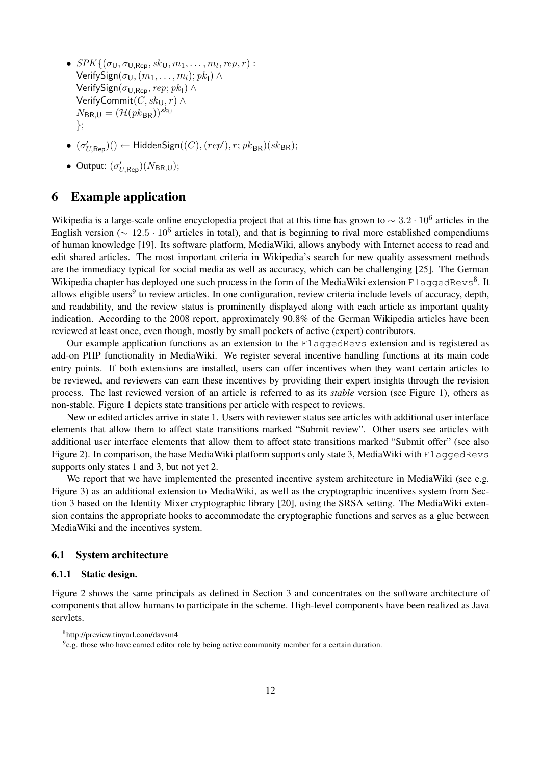- $SPK\{(\sigma_{\mathsf{U}}, \sigma_{\mathsf{U},\mathsf{Rep}}, sk_{\mathsf{U}}, m_1, \ldots, m_l, rep, r) :$  $\mathsf{VerifySign}(\sigma_{\mathsf{U}},(m_1,\ldots,m_l);pk_{\mathsf{I}}) \land$  $\mathsf{VerifySign}(\sigma_{\mathsf{U},\mathsf{Rep}},\mathit{rep};\mathit{pk}_{\mathsf{I}}) \land$ VerifyCommit $(C, sk_{U}, r) \wedge$  $N_{\text{BR,U}} = (\mathcal{H}(pk_{\text{BR}}))^{sk_{\text{U}}}$ };
- $\bullet$   $(\sigma'_{U, \mathsf{Rep}})( ) \leftarrow \mathsf{HiddenSign}((C), (rep'), r; pk_{\mathsf{BR}})(sk_{\mathsf{BR}});$
- Output:  $(\sigma'_{U, \text{Rep}})(N_{\text{BR},U});$

# 6 Example application

Wikipedia is a large-scale online encyclopedia project that at this time has grown to  $\sim 3.2 \cdot 10^6$  articles in the English version ( $\sim 12.5 \cdot 10^6$  articles in total), and that is beginning to rival more established compendiums of human knowledge [19]. Its software platform, MediaWiki, allows anybody with Internet access to read and edit shared articles. The most important criteria in Wikipedia's search for new quality assessment methods are the immediacy typical for social media as well as accuracy, which can be challenging [25]. The German Wikipedia chapter has deployed one such process in the form of the MediaWiki extension  $F1aqgedRevs^8$ . It allows eligible users<sup>9</sup> to review articles. In one configuration, review criteria include levels of accuracy, depth, and readability, and the review status is prominently displayed along with each article as important quality indication. According to the 2008 report, approximately 90.8% of the German Wikipedia articles have been reviewed at least once, even though, mostly by small pockets of active (expert) contributors.

Our example application functions as an extension to the FlaggedRevs extension and is registered as add-on PHP functionality in MediaWiki. We register several incentive handling functions at its main code entry points. If both extensions are installed, users can offer incentives when they want certain articles to be reviewed, and reviewers can earn these incentives by providing their expert insights through the revision process. The last reviewed version of an article is referred to as its *stable* version (see Figure 1), others as non-stable. Figure 1 depicts state transitions per article with respect to reviews.

New or edited articles arrive in state 1. Users with reviewer status see articles with additional user interface elements that allow them to affect state transitions marked "Submit review". Other users see articles with additional user interface elements that allow them to affect state transitions marked "Submit offer" (see also Figure 2). In comparison, the base MediaWiki platform supports only state 3, MediaWiki with FlaggedRevs supports only states 1 and 3, but not yet 2.

We report that we have implemented the presented incentive system architecture in MediaWiki (see e.g. Figure 3) as an additional extension to MediaWiki, as well as the cryptographic incentives system from Section 3 based on the Identity Mixer cryptographic library [20], using the SRSA setting. The MediaWiki extension contains the appropriate hooks to accommodate the cryptographic functions and serves as a glue between MediaWiki and the incentives system.

## 6.1 System architecture

## 6.1.1 Static design.

Figure 2 shows the same principals as defined in Section 3 and concentrates on the software architecture of components that allow humans to participate in the scheme. High-level components have been realized as Java servlets.

<sup>8</sup> http://preview.tinyurl.com/davsm4

 $9^9$ e.g. those who have earned editor role by being active community member for a certain duration.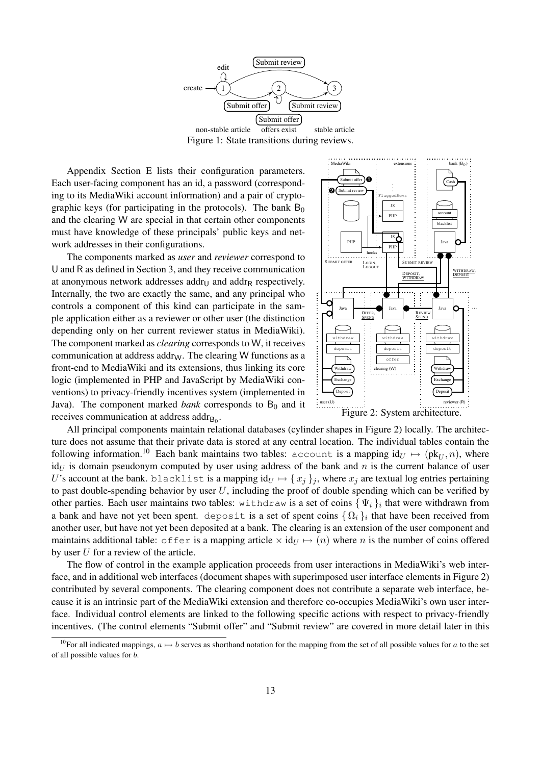

Figure 1: State transitions during reviews.

Appendix Section E lists their configuration parameters. Each user-facing component has an id, a password (corresponding to its MediaWiki account information) and a pair of cryptographic keys (for participating in the protocols). The bank  $B_0$ and the clearing W are special in that certain other components must have knowledge of these principals' public keys and network addresses in their configurations.

The components marked as *user* and *reviewer* correspond to U and R as defined in Section 3, and they receive communication at anonymous network addresses addr $_{\text{U}}$  and addr<sub>R</sub> respectively. Internally, the two are exactly the same, and any principal who controls a component of this kind can participate in the sample application either as a reviewer or other user (the distinction depending only on her current reviewer status in MediaWiki). The component marked as *clearing* corresponds to W, it receives communication at address addr<sub>W</sub>. The clearing W functions as a front-end to MediaWiki and its extensions, thus linking its core logic (implemented in PHP and JavaScript by MediaWiki conventions) to privacy-friendly incentives system (implemented in Java). The component marked *bank* corresponds to  $B_0$  and it receives communication at address  $\text{addr}_{\text{B}_0}$ .



All principal components maintain relational databases (cylinder shapes in Figure 2) locally. The architecture does not assume that their private data is stored at any central location. The individual tables contain the following information.<sup>10</sup> Each bank maintains two tables: account is a mapping  $id_U \mapsto (pk_U, n)$ , where  $id<sub>U</sub>$  is domain pseudonym computed by user using address of the bank and n is the current balance of user U's account at the bank. blacklist is a mapping  $id_U \mapsto \{x_j\}_j$ , where  $x_j$  are textual log entries pertaining to past double-spending behavior by user  $U$ , including the proof of double spending which can be verified by other parties. Each user maintains two tables: withdraw is a set of coins  $\set{\Psi_i}_i$  that were withdrawn from a bank and have not yet been spent. deposit is a set of spent coins  $\{\Omega_i\}_i$  that have been received from another user, but have not yet been deposited at a bank. The clearing is an extension of the user component and maintains additional table: offer is a mapping article  $\times$  id<sub>U</sub>  $\mapsto$  (n) where n is the number of coins offered by user U for a review of the article.

The flow of control in the example application proceeds from user interactions in MediaWiki's web interface, and in additional web interfaces (document shapes with superimposed user interface elements in Figure 2) contributed by several components. The clearing component does not contribute a separate web interface, because it is an intrinsic part of the MediaWiki extension and therefore co-occupies MediaWiki's own user interface. Individual control elements are linked to the following specific actions with respect to privacy-friendly incentives. (The control elements "Submit offer" and "Submit review" are covered in more detail later in this

<sup>&</sup>lt;sup>10</sup>For all indicated mappings,  $a \mapsto b$  serves as shorthand notation for the mapping from the set of all possible values for a to the set of all possible values for b.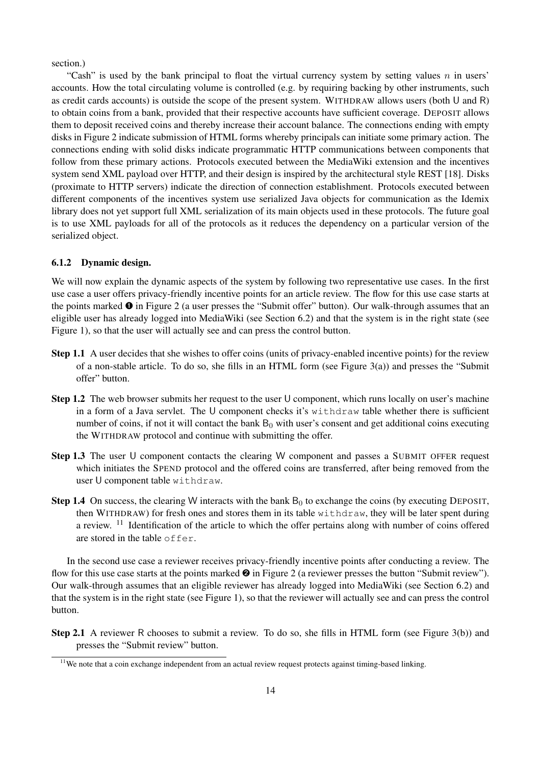#### section.)

"Cash" is used by the bank principal to float the virtual currency system by setting values  $n$  in users' accounts. How the total circulating volume is controlled (e.g. by requiring backing by other instruments, such as credit cards accounts) is outside the scope of the present system. WITHDRAW allows users (both U and R) to obtain coins from a bank, provided that their respective accounts have sufficient coverage. DEPOSIT allows them to deposit received coins and thereby increase their account balance. The connections ending with empty disks in Figure 2 indicate submission of HTML forms whereby principals can initiate some primary action. The connections ending with solid disks indicate programmatic HTTP communications between components that follow from these primary actions. Protocols executed between the MediaWiki extension and the incentives system send XML payload over HTTP, and their design is inspired by the architectural style REST [18]. Disks (proximate to HTTP servers) indicate the direction of connection establishment. Protocols executed between different components of the incentives system use serialized Java objects for communication as the Idemix library does not yet support full XML serialization of its main objects used in these protocols. The future goal is to use XML payloads for all of the protocols as it reduces the dependency on a particular version of the serialized object.

#### 6.1.2 Dynamic design.

We will now explain the dynamic aspects of the system by following two representative use cases. In the first use case a user offers privacy-friendly incentive points for an article review. The flow for this use case starts at the points marked  $\bullet$  in Figure 2 (a user presses the "Submit offer" button). Our walk-through assumes that an eligible user has already logged into MediaWiki (see Section 6.2) and that the system is in the right state (see Figure 1), so that the user will actually see and can press the control button.

- Step 1.1 A user decides that she wishes to offer coins (units of privacy-enabled incentive points) for the review of a non-stable article. To do so, she fills in an HTML form (see Figure 3(a)) and presses the "Submit offer" button.
- Step 1.2 The web browser submits her request to the user U component, which runs locally on user's machine in a form of a Java servlet. The U component checks it's withdraw table whether there is sufficient number of coins, if not it will contact the bank  $B_0$  with user's consent and get additional coins executing the WITHDRAW protocol and continue with submitting the offer.
- Step 1.3 The user U component contacts the clearing W component and passes a SUBMIT OFFER request which initiates the SPEND protocol and the offered coins are transferred, after being removed from the user U component table withdraw.
- Step 1.4 On success, the clearing W interacts with the bank  $B_0$  to exchange the coins (by executing DEPOSIT, then WITHDRAW) for fresh ones and stores them in its table withdraw, they will be later spent during a review. <sup>11</sup> Identification of the article to which the offer pertains along with number of coins offered are stored in the table offer.

In the second use case a reviewer receives privacy-friendly incentive points after conducting a review. The flow for this use case starts at the points marked  $\Theta$  in Figure 2 (a reviewer presses the button "Submit review"). Our walk-through assumes that an eligible reviewer has already logged into MediaWiki (see Section 6.2) and that the system is in the right state (see Figure 1), so that the reviewer will actually see and can press the control button.

Step 2.1 A reviewer R chooses to submit a review. To do so, she fills in HTML form (see Figure 3(b)) and presses the "Submit review" button.

<sup>&</sup>lt;sup>11</sup>We note that a coin exchange independent from an actual review request protects against timing-based linking.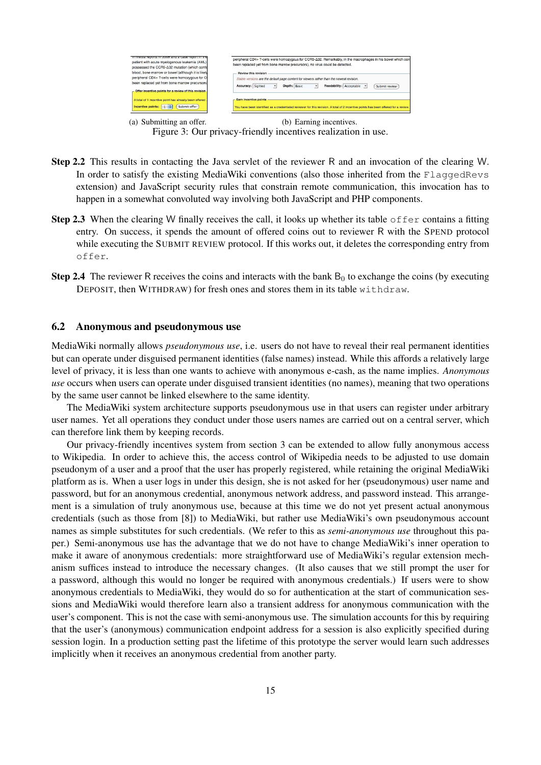| n i media reports in zouo and a case report in the<br>patient with acute myelogenous leukemia (AML)<br>possessed the CCR5- $\Delta$ 32 mutation (which confe<br>blood, bone marrow or bowel (although it is likely | peripheral CD4+ T-cells were homozygous for CCR5-A32. Remarkably, in the macrophages in his bowel which con<br>been replaced vet from bone marrow precursors), no virus could be detected.<br>Review this revision |
|--------------------------------------------------------------------------------------------------------------------------------------------------------------------------------------------------------------------|--------------------------------------------------------------------------------------------------------------------------------------------------------------------------------------------------------------------|
| peripheral CD4+ T-cells were homozygous for C1<br>been replaced yet from bone marrow precursors)<br>- Offer incentive points for a review of this revision                                                         | Stable versions are the default page content for viewers rather than the newest revision.<br>Accuracy: Sighted<br>Depth: Basic<br>Readability: Acceptable v<br>$\mathbf{v}$<br>Submit review                       |
| A total of 1 incentive point has already been offered.<br>Incentive points: $\begin{bmatrix} 1 \\ 2 \end{bmatrix}$<br>Submit offer                                                                                 | Earn incentive points<br>You have been identified as a credentialed reviewer for this revision. A total of 2 incentive points has been offered for a review.                                                       |
| (a) Submitting an offer.                                                                                                                                                                                           | (b) Earning incentives.                                                                                                                                                                                            |



- Step 2.2 This results in contacting the Java servlet of the reviewer R and an invocation of the clearing W. In order to satisfy the existing MediaWiki conventions (also those inherited from the FlaggedRevs extension) and JavaScript security rules that constrain remote communication, this invocation has to happen in a somewhat convoluted way involving both JavaScript and PHP components.
- **Step 2.3** When the clearing W finally receives the call, it looks up whether its table offer contains a fitting entry. On success, it spends the amount of offered coins out to reviewer R with the SPEND protocol while executing the SUBMIT REVIEW protocol. If this works out, it deletes the corresponding entry from offer.
- Step 2.4 The reviewer R receives the coins and interacts with the bank  $B_0$  to exchange the coins (by executing DEPOSIT, then WITHDRAW) for fresh ones and stores them in its table withdraw.

## 6.2 Anonymous and pseudonymous use

MediaWiki normally allows *pseudonymous use*, i.e. users do not have to reveal their real permanent identities but can operate under disguised permanent identities (false names) instead. While this affords a relatively large level of privacy, it is less than one wants to achieve with anonymous e-cash, as the name implies. *Anonymous use* occurs when users can operate under disguised transient identities (no names), meaning that two operations by the same user cannot be linked elsewhere to the same identity.

The MediaWiki system architecture supports pseudonymous use in that users can register under arbitrary user names. Yet all operations they conduct under those users names are carried out on a central server, which can therefore link them by keeping records.

Our privacy-friendly incentives system from section 3 can be extended to allow fully anonymous access to Wikipedia. In order to achieve this, the access control of Wikipedia needs to be adjusted to use domain pseudonym of a user and a proof that the user has properly registered, while retaining the original MediaWiki platform as is. When a user logs in under this design, she is not asked for her (pseudonymous) user name and password, but for an anonymous credential, anonymous network address, and password instead. This arrangement is a simulation of truly anonymous use, because at this time we do not yet present actual anonymous credentials (such as those from [8]) to MediaWiki, but rather use MediaWiki's own pseudonymous account names as simple substitutes for such credentials. (We refer to this as *semi-anonymous use* throughout this paper.) Semi-anonymous use has the advantage that we do not have to change MediaWiki's inner operation to make it aware of anonymous credentials: more straightforward use of MediaWiki's regular extension mechanism suffices instead to introduce the necessary changes. (It also causes that we still prompt the user for a password, although this would no longer be required with anonymous credentials.) If users were to show anonymous credentials to MediaWiki, they would do so for authentication at the start of communication sessions and MediaWiki would therefore learn also a transient address for anonymous communication with the user's component. This is not the case with semi-anonymous use. The simulation accounts for this by requiring that the user's (anonymous) communication endpoint address for a session is also explicitly specified during session login. In a production setting past the lifetime of this prototype the server would learn such addresses implicitly when it receives an anonymous credential from another party.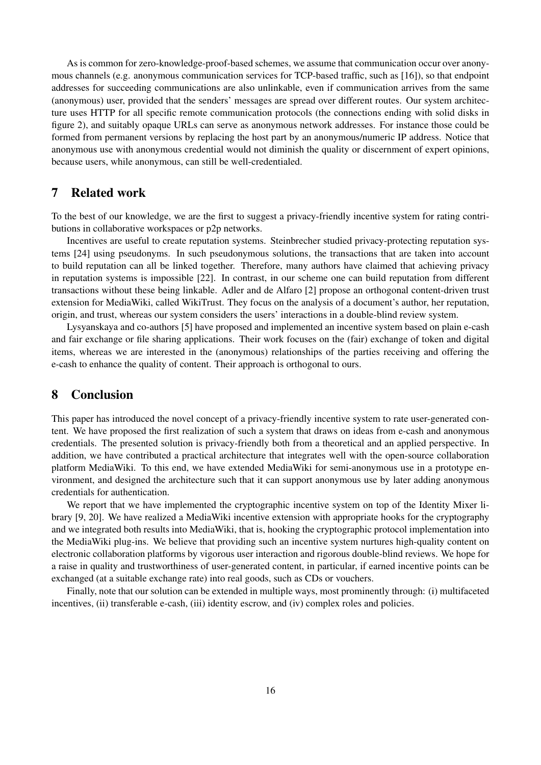As is common for zero-knowledge-proof-based schemes, we assume that communication occur over anonymous channels (e.g. anonymous communication services for TCP-based traffic, such as [16]), so that endpoint addresses for succeeding communications are also unlinkable, even if communication arrives from the same (anonymous) user, provided that the senders' messages are spread over different routes. Our system architecture uses HTTP for all specific remote communication protocols (the connections ending with solid disks in figure 2), and suitably opaque URLs can serve as anonymous network addresses. For instance those could be formed from permanent versions by replacing the host part by an anonymous/numeric IP address. Notice that anonymous use with anonymous credential would not diminish the quality or discernment of expert opinions, because users, while anonymous, can still be well-credentialed.

# 7 Related work

To the best of our knowledge, we are the first to suggest a privacy-friendly incentive system for rating contributions in collaborative workspaces or p2p networks.

Incentives are useful to create reputation systems. Steinbrecher studied privacy-protecting reputation systems [24] using pseudonyms. In such pseudonymous solutions, the transactions that are taken into account to build reputation can all be linked together. Therefore, many authors have claimed that achieving privacy in reputation systems is impossible [22]. In contrast, in our scheme one can build reputation from different transactions without these being linkable. Adler and de Alfaro [2] propose an orthogonal content-driven trust extension for MediaWiki, called WikiTrust. They focus on the analysis of a document's author, her reputation, origin, and trust, whereas our system considers the users' interactions in a double-blind review system.

Lysyanskaya and co-authors [5] have proposed and implemented an incentive system based on plain e-cash and fair exchange or file sharing applications. Their work focuses on the (fair) exchange of token and digital items, whereas we are interested in the (anonymous) relationships of the parties receiving and offering the e-cash to enhance the quality of content. Their approach is orthogonal to ours.

# 8 Conclusion

This paper has introduced the novel concept of a privacy-friendly incentive system to rate user-generated content. We have proposed the first realization of such a system that draws on ideas from e-cash and anonymous credentials. The presented solution is privacy-friendly both from a theoretical and an applied perspective. In addition, we have contributed a practical architecture that integrates well with the open-source collaboration platform MediaWiki. To this end, we have extended MediaWiki for semi-anonymous use in a prototype environment, and designed the architecture such that it can support anonymous use by later adding anonymous credentials for authentication.

We report that we have implemented the cryptographic incentive system on top of the Identity Mixer library [9, 20]. We have realized a MediaWiki incentive extension with appropriate hooks for the cryptography and we integrated both results into MediaWiki, that is, hooking the cryptographic protocol implementation into the MediaWiki plug-ins. We believe that providing such an incentive system nurtures high-quality content on electronic collaboration platforms by vigorous user interaction and rigorous double-blind reviews. We hope for a raise in quality and trustworthiness of user-generated content, in particular, if earned incentive points can be exchanged (at a suitable exchange rate) into real goods, such as CDs or vouchers.

Finally, note that our solution can be extended in multiple ways, most prominently through: (i) multifaceted incentives, (ii) transferable e-cash, (iii) identity escrow, and (iv) complex roles and policies.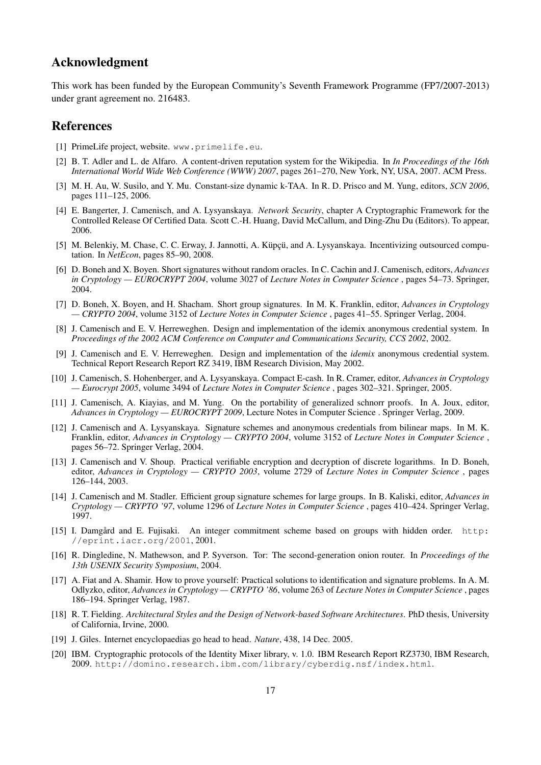# Acknowledgment

This work has been funded by the European Community's Seventh Framework Programme (FP7/2007-2013) under grant agreement no. 216483.

# References

- [1] PrimeLife project, website. www.primelife.eu.
- [2] B. T. Adler and L. de Alfaro. A content-driven reputation system for the Wikipedia. In *In Proceedings of the 16th International World Wide Web Conference (WWW) 2007*, pages 261–270, New York, NY, USA, 2007. ACM Press.
- [3] M. H. Au, W. Susilo, and Y. Mu. Constant-size dynamic k-TAA. In R. D. Prisco and M. Yung, editors, *SCN 2006*, pages 111–125, 2006.
- [4] E. Bangerter, J. Camenisch, and A. Lysyanskaya. *Network Security*, chapter A Cryptographic Framework for the Controlled Release Of Certified Data. Scott C.-H. Huang, David McCallum, and Ding-Zhu Du (Editors). To appear, 2006.
- [5] M. Belenkiy, M. Chase, C. C. Erway, J. Jannotti, A. Küpçü, and A. Lysyanskaya. Incentivizing outsourced computation. In *NetEcon*, pages 85–90, 2008.
- [6] D. Boneh and X. Boyen. Short signatures without random oracles. In C. Cachin and J. Camenisch, editors, *Advances in Cryptology — EUROCRYPT 2004*, volume 3027 of *Lecture Notes in Computer Science* , pages 54–73. Springer, 2004.
- [7] D. Boneh, X. Boyen, and H. Shacham. Short group signatures. In M. K. Franklin, editor, *Advances in Cryptology — CRYPTO 2004*, volume 3152 of *Lecture Notes in Computer Science* , pages 41–55. Springer Verlag, 2004.
- [8] J. Camenisch and E. V. Herreweghen. Design and implementation of the idemix anonymous credential system. In *Proceedings of the 2002 ACM Conference on Computer and Communications Security, CCS 2002*, 2002.
- [9] J. Camenisch and E. V. Herreweghen. Design and implementation of the *idemix* anonymous credential system. Technical Report Research Report RZ 3419, IBM Research Division, May 2002.
- [10] J. Camenisch, S. Hohenberger, and A. Lysyanskaya. Compact E-cash. In R. Cramer, editor, *Advances in Cryptology — Eurocrypt 2005*, volume 3494 of *Lecture Notes in Computer Science* , pages 302–321. Springer, 2005.
- [11] J. Camenisch, A. Kiayias, and M. Yung. On the portability of generalized schnorr proofs. In A. Joux, editor, *Advances in Cryptology — EUROCRYPT 2009*, Lecture Notes in Computer Science . Springer Verlag, 2009.
- [12] J. Camenisch and A. Lysyanskaya. Signature schemes and anonymous credentials from bilinear maps. In M. K. Franklin, editor, *Advances in Cryptology — CRYPTO 2004*, volume 3152 of *Lecture Notes in Computer Science* , pages 56–72. Springer Verlag, 2004.
- [13] J. Camenisch and V. Shoup. Practical verifiable encryption and decryption of discrete logarithms. In D. Boneh, editor, *Advances in Cryptology — CRYPTO 2003*, volume 2729 of *Lecture Notes in Computer Science* , pages 126–144, 2003.
- [14] J. Camenisch and M. Stadler. Efficient group signature schemes for large groups. In B. Kaliski, editor, *Advances in Cryptology — CRYPTO '97*, volume 1296 of *Lecture Notes in Computer Science* , pages 410–424. Springer Verlag, 1997.
- [15] I. Damgård and E. Fujisaki. An integer commitment scheme based on groups with hidden order. http: //eprint.iacr.org/2001, 2001.
- [16] R. Dingledine, N. Mathewson, and P. Syverson. Tor: The second-generation onion router. In *Proceedings of the 13th USENIX Security Symposium*, 2004.
- [17] A. Fiat and A. Shamir. How to prove yourself: Practical solutions to identification and signature problems. In A. M. Odlyzko, editor, *Advances in Cryptology — CRYPTO '86*, volume 263 of *Lecture Notes in Computer Science* , pages 186–194. Springer Verlag, 1987.
- [18] R. T. Fielding. *Architectural Styles and the Design of Network-based Software Architectures*. PhD thesis, University of California, Irvine, 2000.
- [19] J. Giles. Internet encyclopaedias go head to head. *Nature*, 438, 14 Dec. 2005.
- [20] IBM. Cryptographic protocols of the Identity Mixer library, v. 1.0. IBM Research Report RZ3730, IBM Research, 2009. http://domino.research.ibm.com/library/cyberdig.nsf/index.html.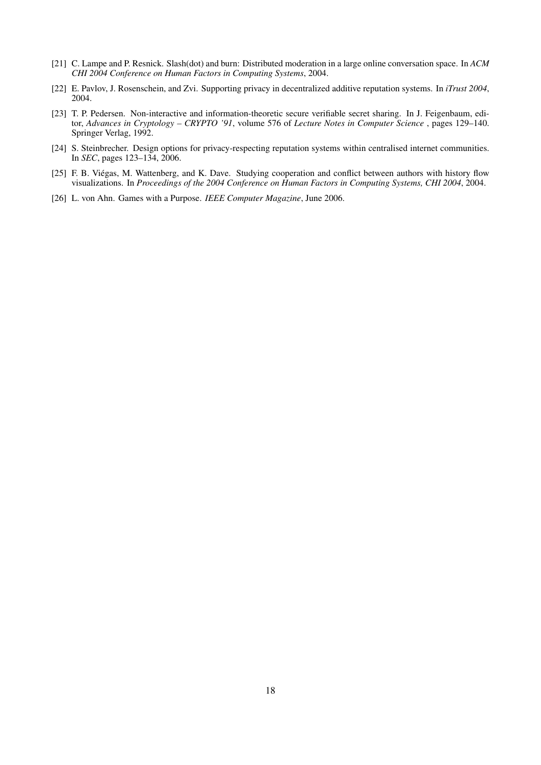- [21] C. Lampe and P. Resnick. Slash(dot) and burn: Distributed moderation in a large online conversation space. In *ACM CHI 2004 Conference on Human Factors in Computing Systems*, 2004.
- [22] E. Pavlov, J. Rosenschein, and Zvi. Supporting privacy in decentralized additive reputation systems. In *iTrust 2004*, 2004.
- [23] T. P. Pedersen. Non-interactive and information-theoretic secure verifiable secret sharing. In J. Feigenbaum, editor, *Advances in Cryptology – CRYPTO '91*, volume 576 of *Lecture Notes in Computer Science* , pages 129–140. Springer Verlag, 1992.
- [24] S. Steinbrecher. Design options for privacy-respecting reputation systems within centralised internet communities. In *SEC*, pages 123–134, 2006.
- [25] F. B. Viégas, M. Wattenberg, and K. Dave. Studying cooperation and conflict between authors with history flow visualizations. In *Proceedings of the 2004 Conference on Human Factors in Computing Systems, CHI 2004*, 2004.
- [26] L. von Ahn. Games with a Purpose. *IEEE Computer Magazine*, June 2006.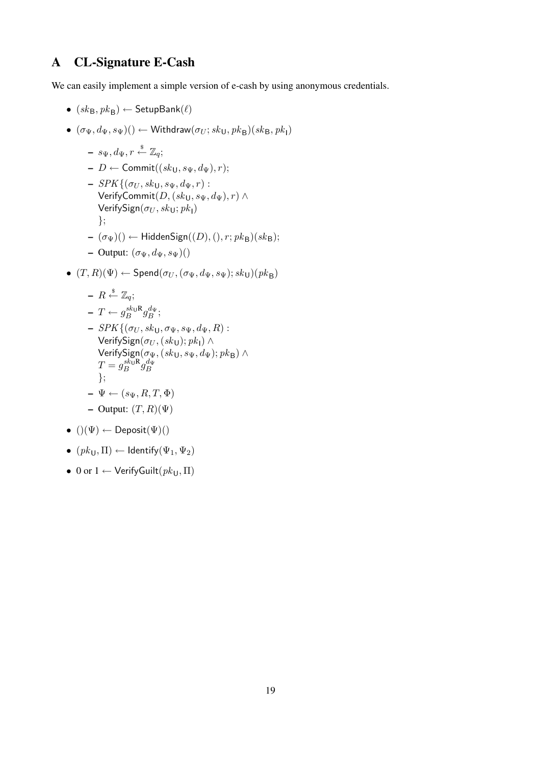# A CL-Signature E-Cash

We can easily implement a simple version of e-cash by using anonymous credentials.

- $(s k_{\rm B}, p k_{\rm B}) \leftarrow$  SetupBank $(\ell)$
- $\bullet \ (\sigma_{\Psi}, d_{\Psi}, s_{\Psi})(\)leftarrow \textsf{Without}(\sigma_{U}; sk_{\mathsf{U}}, pk_{\mathsf{B}})(sk_{\mathsf{B}}, pk_{\mathsf{I}})$ 
	- $s_\Psi, d_\Psi, r \stackrel{\hspace{0.1em}\mathsf{\scriptscriptstyle\$}}{\leftarrow} \mathbb{Z}_q;$
	- $-D \leftarrow$  Commit $((sk_{U}, s_{\Psi}, d_{\Psi}), r);$
	- $-$  SPK $\{(\sigma_U, sk_U, s_{\Psi}, d_{\Psi}, r)$ : VerifyCommit $(D, (sk_{U}, s_{\Psi}, d_{\Psi}), r) \wedge$  $\mathsf{VerifySign}(\sigma_U, sk_\mathsf{U}; pk_\mathsf{I})$ };
	- $-$  (σψ)() ← HiddenSign((D), (), r; pk<sub>B</sub>)(sk<sub>B</sub>);
	- Output:  $(\sigma_{\Psi}, d_{\Psi}, s_{\Psi})$ ()
- $(T, R)(\Psi) \leftarrow$  Spend $(\sigma_U, (\sigma_{\Psi}, d_{\Psi}, s_{\Psi}); sk_U)(pk_B)$

- 
$$
R \stackrel{\$}{\leftarrow} \mathbb{Z}_q
$$
;  
\n-  $T \leftarrow g_B^{sk_U R} g_B^{d_\Psi}$ ;  
\n-  $SPK \{ (\sigma_U, sk_U, \sigma_\Psi, s_\Psi, d_\Psi, R) :$   
\nVerifySign $(\sigma_U, (sk_U); pk_1) \land$   
\nVerifySign $(\sigma_\Psi, (sk_U, s_\Psi, d_\Psi); pk_B) \land$   
\n $T = g_B^{sk_U R} g_B^{d_\Psi}$   
\n};  
\n-  $\Psi \leftarrow (s_\Psi, R, T, \Phi)$   
\n- Output:  $(T, R)(\Psi)$ 

- $()(\Psi) \leftarrow \text{Deposit}(\Psi)()$
- $(pk_U, \Pi) \leftarrow$  Identify $(\Psi_1, \Psi_2)$
- 0 or  $1 \leftarrow$  VerifyGuilt $(pk_U, \Pi)$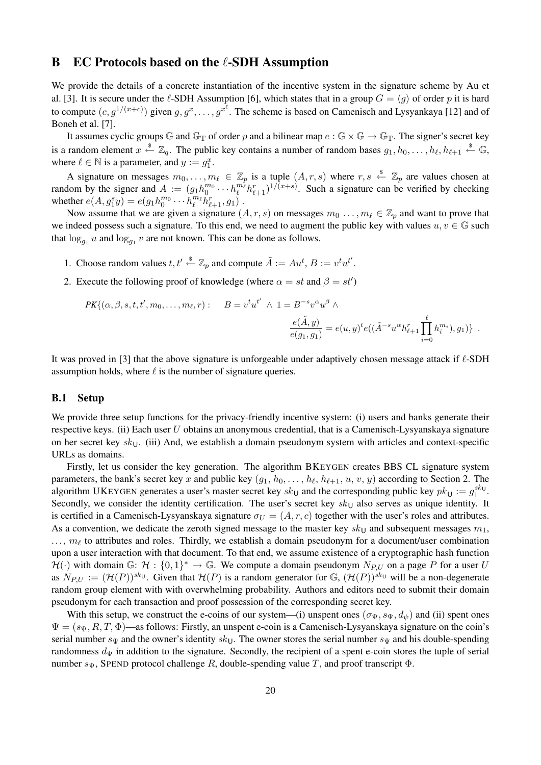## $\bf{B}$   $\bf{E}$  EC Protocols based on the  $\ell$ -SDH Assumption

We provide the details of a concrete instantiation of the incentive system in the signature scheme by Au et al. [3]. It is secure under the  $\ell$ -SDH Assumption [6], which states that in a group  $G = \langle q \rangle$  of order p it is hard to compute  $(c, g^{1/(x+c)})$  given  $g, g^x, \ldots, g^{x^{\ell}}$ . The scheme is based on Camenisch and Lysyankaya [12] and of Boneh et al. [7].

It assumes cyclic groups  $\mathbb G$  and  $\mathbb G_T$  of order p and a bilinear map  $e : \mathbb G \times \mathbb G \to \mathbb G_T$ . The signer's secret key is a random element  $x \stackrel{\$}{\leftarrow} \mathbb{Z}_q$ . The public key contains a number of random bases  $g_1, h_0, \ldots, h_\ell, h_{\ell+1} \stackrel{\$}{\leftarrow} \mathbb{G}$ , where  $\ell \in \mathbb{N}$  is a parameter, and  $y := g_1^x$ .

A signature on messages  $m_0, \ldots, m_\ell \in \mathbb{Z}_p$  is a tuple  $(A, r, s)$  where  $r, s \stackrel{\$}{\leftarrow} \mathbb{Z}_p$  are values chosen at random by the signer and  $A := (g_1 h_0^{m_0} \cdots h_\ell^{m_\ell} h_{\ell+1}^r)^{1/(x+s)}$ . Such a signature can be verified by checking whether  $e(A, g_1^s y) = e(g_1 h_0^{m_0} \cdots h_{\ell}^{m_{\ell}} h_{\ell+1}^r, g_1)$ .

Now assume that we are given a signature  $(A, r, s)$  on messages  $m_0 \dots, m_\ell \in \mathbb{Z}_p$  and want to prove that we indeed possess such a signature. To this end, we need to augment the public key with values  $u, v \in \mathbb{G}$  such that  $\log_{g_1} u$  and  $\log_{g_1} v$  are not known. This can be done as follows.

- 1. Choose random values  $t, t' \stackrel{\$}{\leftarrow} \mathbb{Z}_p$  and compute  $\tilde{A} := Au^t, B := v^t u^{t'}$ .
- 2. Execute the following proof of knowledge (where  $\alpha = st$  and  $\beta = st'$ )

$$
PK\{(\alpha, \beta, s, t, t', m_0, \dots, m_\ell, r): \qquad B = v^t u^{t'} \ \land \ 1 = B^{-s} v^{\alpha} u^{\beta} \ \land \frac{e(\tilde{A}, y)}{e(g_1, g_1)} = e(u, y)^t e((\tilde{A}^{-s} u^{\alpha} h_{\ell+1}^r \prod_{i=0}^{\ell} h_i^{m_i}), g_1)\}.
$$

It was proved in [3] that the above signature is unforgeable under adaptively chosen message attack if  $\ell$ -SDH assumption holds, where  $\ell$  is the number of signature queries.

#### B.1 Setup

We provide three setup functions for the privacy-friendly incentive system: (i) users and banks generate their respective keys. (ii) Each user  $U$  obtains an anonymous credential, that is a Camenisch-Lysyanskaya signature on her secret key  $sk_{U}$ . (iii) And, we establish a domain pseudonym system with articles and context-specific URLs as domains.

Firstly, let us consider the key generation. The algorithm BKEYGEN creates BBS CL signature system parameters, the bank's secret key x and public key  $(g_1, h_0, \ldots, h_\ell, h_{\ell+1}, u, v, y)$  according to Section 2. The algorithm UKEYGEN generates a user's master secret key  $sk_U$  and the corresponding public key  $pk_U := g_1^{sk_U}$ . Secondly, we consider the identity certification. The user's secret key  $sk_{U}$  also serves as unique identity. It is certified in a Camenisch-Lysyanskaya signature  $\sigma_U = (A, r, c)$  together with the user's roles and attributes. As a convention, we dedicate the zeroth signed message to the master key  $sk_{\rm U}$  and subsequent messages  $m_1$ ,  $..., m_{\ell}$  to attributes and roles. Thirdly, we establish a domain pseudonym for a document/user combination upon a user interaction with that document. To that end, we assume existence of a cryptographic hash function  $\mathcal{H}(\cdot)$  with domain G:  $\mathcal{H}:\{0,1\}^* \to \mathbb{G}$ . We compute a domain pseudonym  $N_{P,U}$  on a page P for a user U as  $N_{P,U} := (\mathcal{H}(P))^{sk_U}$ . Given that  $\mathcal{H}(P)$  is a random generator for  $\mathbb{G}, (\mathcal{H}(P))^{sk_U}$  will be a non-degenerate random group element with with overwhelming probability. Authors and editors need to submit their domain pseudonym for each transaction and proof possession of the corresponding secret key.

With this setup, we construct the e-coins of our system—(i) unspent ones  $(\sigma_{\Psi}, s_{\Psi}, d_{\psi})$  and (ii) spent ones  $\Psi = (s_{\Psi}, R, T, \Phi)$ —as follows: Firstly, an unspent e-coin is a Camenisch-Lysyanskaya signature on the coin's serial number  $s_{\Psi}$  and the owner's identity  $sk_{U}$ . The owner stores the serial number  $s_{\Psi}$  and his double-spending randomness  $d_{\Psi}$  in addition to the signature. Secondly, the recipient of a spent e-coin stores the tuple of serial number  $s_{\Psi}$ , SPEND protocol challenge R, double-spending value T, and proof transcript  $\Phi$ .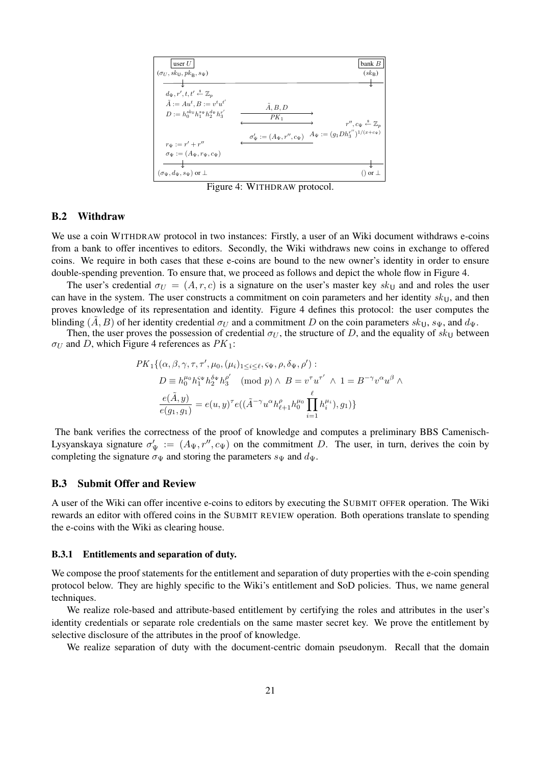

Figure 4: WITHDRAW protocol.

### B.2 Withdraw

We use a coin WITHDRAW protocol in two instances: Firstly, a user of an Wiki document withdraws e-coins from a bank to offer incentives to editors. Secondly, the Wiki withdraws new coins in exchange to offered coins. We require in both cases that these e-coins are bound to the new owner's identity in order to ensure double-spending prevention. To ensure that, we proceed as follows and depict the whole flow in Figure 4.

The user's credential  $\sigma_U = (A, r, c)$  is a signature on the user's master key  $sk_U$  and and roles the user can have in the system. The user constructs a commitment on coin parameters and her identity  $sk_{U}$ , and then proves knowledge of its representation and identity. Figure 4 defines this protocol: the user computes the blinding  $(\tilde{A}, B)$  of her identity credential  $\sigma_U$  and a commitment D on the coin parameters  $sk_U$ ,  $s_{\Psi}$ , and  $d_{\Psi}$ .

Then, the user proves the possession of credential  $\sigma_U$ , the structure of D, and the equality of sk<sub>U</sub> between  $\sigma_U$  and D, which Figure 4 references as  $PK_1$ :

$$
PK_1\{(\alpha, \beta, \gamma, \tau, \tau', \mu_0, (\mu_i)_{1 \le i \le \ell}, \varsigma_{\Psi}, \rho, \delta_{\Psi}, \rho') : \nD \equiv h_0^{\mu_0} h_1^{\varsigma_{\Psi}} h_2^{\delta_{\Psi}} h_3^{\rho'} \pmod{p} \wedge B = v^{\tau} u^{\tau'} \wedge 1 = B^{-\gamma} v^{\alpha} u^{\beta} \wedge \n\frac{e(\tilde{A}, y)}{e(g_1, g_1)} = e(u, y)^{\tau} e((\tilde{A}^{-\gamma} u^{\alpha} h_{\ell+1}^{\rho} h_0^{\mu_0} \prod_{i=1}^{\ell} h_i^{\mu_i}), g_1)\}
$$

The bank verifies the correctness of the proof of knowledge and computes a preliminary BBS Camenisch-Lysyanskaya signature  $\sigma'_{\Psi} := (A_{\Psi}, r'', c_{\Psi})$  on the commitment D. The user, in turn, derives the coin by completing the signature  $\sigma_{\Psi}$  and storing the parameters  $s_{\Psi}$  and  $d_{\Psi}$ .

### B.3 Submit Offer and Review

A user of the Wiki can offer incentive e-coins to editors by executing the SUBMIT OFFER operation. The Wiki rewards an editor with offered coins in the SUBMIT REVIEW operation. Both operations translate to spending the e-coins with the Wiki as clearing house.

#### B.3.1 Entitlements and separation of duty.

We compose the proof statements for the entitlement and separation of duty properties with the e-coin spending protocol below. They are highly specific to the Wiki's entitlement and SoD policies. Thus, we name general techniques.

We realize role-based and attribute-based entitlement by certifying the roles and attributes in the user's identity credentials or separate role credentials on the same master secret key. We prove the entitlement by selective disclosure of the attributes in the proof of knowledge.

We realize separation of duty with the document-centric domain pseudonym. Recall that the domain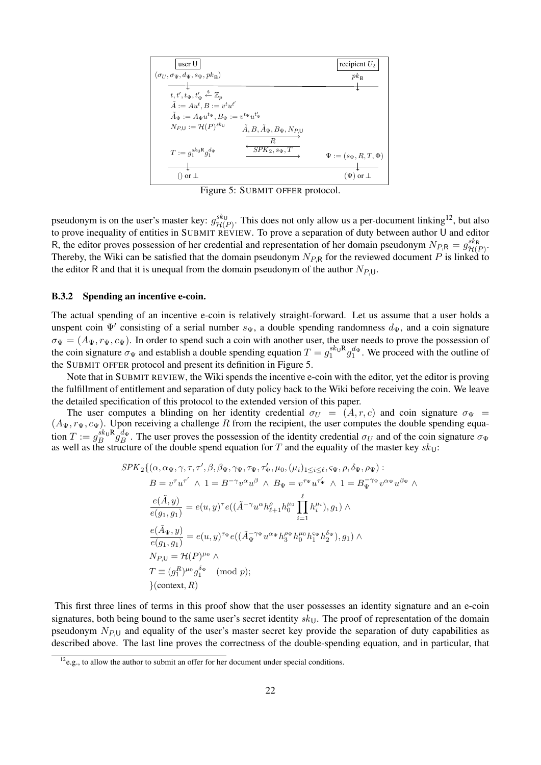

Figure 5: SUBMIT OFFER protocol.

pseudonym is on the user's master key:  $g_{\mathcal{H}(\mathcal{C})}^{sk_{\mathcal{U}}}$  $\mathcal{H}_{(P)}^{sky}$ . This does not only allow us a per-document linking<sup>12</sup>, but also to prove inequality of entities in SUBMIT REVIEW. To prove a separation of duty between author U and editor R, the editor proves possession of her credential and representation of her domain pseudonym  $N_{P,R} = g_{H}^{sk_R}$  $\overset{\mathcal{S}\mathcal{K}_{\mathsf{R}}}{\mathcal{H}(P)}.$ Thereby, the Wiki can be satisfied that the domain pseudonym  $N_{P,R}$  for the reviewed document P is linked to the editor R and that it is unequal from the domain pseudonym of the author  $N_{P,U}$ .

#### B.3.2 Spending an incentive e-coin.

The actual spending of an incentive e-coin is relatively straight-forward. Let us assume that a user holds a unspent coin  $\Psi'$  consisting of a serial number  $s_{\Psi}$ , a double spending randomness  $d_{\Psi}$ , and a coin signature  $\sigma_{\Psi} = (A_{\Psi}, r_{\Psi}, c_{\Psi})$ . In order to spend such a coin with another user, the user needs to prove the possession of the coin signature  $\sigma_\Psi$  and establish a double spending equation  $T = g_1^{sk_U R} g_1^{d_\Psi}$ . We proceed with the outline of the SUBMIT OFFER protocol and present its definition in Figure 5.

Note that in SUBMIT REVIEW, the Wiki spends the incentive e-coin with the editor, yet the editor is proving the fulfillment of entitlement and separation of duty policy back to the Wiki before receiving the coin. We leave the detailed specification of this protocol to the extended version of this paper.

The user computes a blinding on her identity credential  $\sigma_U = (A, r, c)$  and coin signature  $\sigma_w =$  $(A_{\Psi}, r_{\Psi}, c_{\Psi})$ . Upon receiving a challenge R from the recipient, the user computes the double spending equation  $T := g_B^{sk_0R} g_B^{d_\Psi}$ . The user proves the possession of the identity credential  $\sigma_U$  and of the coin signature  $\sigma_\Psi$ as well as the structure of the double spend equation for T and the equality of the master key  $sk_{U}$ :

$$
SPK_2\{ (\alpha, \alpha_{\Psi}, \gamma, \tau, \tau', \beta, \beta_{\Psi}, \gamma_{\Psi}, \tau_{\Psi}, \tau'_{\Psi}, \mu_0, (\mu_i)_{1 \leq i \leq \ell}, \varsigma_{\Psi}, \rho, \delta_{\Psi}, \rho_{\Psi}) : B = v^{\tau} u^{\tau'} \ \wedge \ 1 = B^{-\gamma} v^{\alpha} u^{\beta} \ \wedge \ B_{\Psi} = v^{\tau_{\Psi}} u^{\tau'_{\Psi}} \ \wedge \ 1 = B_{\Psi}^{-\gamma_{\Psi}} v^{\alpha_{\Psi}} u^{\beta_{\Psi}} \ \wedge \n\frac{e(\tilde{A}, y)}{e(g_1, g_1)} = e(u, y)^{\tau} e((\tilde{A}^{-\gamma} u^{\alpha} h_{\ell+1}^{\rho} h_0^{\mu_0} \prod_{i=1}^{\ell} h_i^{\mu_i}), g_1) \ \wedge \n\frac{e(\tilde{A}_{\Psi}, y)}{e(g_1, g_1)} = e(u, y)^{\tau_{\Psi}} e((\tilde{A}_{\Psi}^{-\gamma_{\Psi}} u^{\alpha_{\Psi}} h_3^{\rho_{\Psi}} h_0^{\mu_0} h_1^{\varsigma_{\Psi}} h_2^{\delta_{\Psi}}), g_1) \ \wedge N_{P, \mathsf{U}} = \mathcal{H}(P)^{\mu_0} \ \wedge T \equiv (g_1^R)^{\mu_0} g_1^{\delta_{\Psi}} \pmod{p}; \n\} \text{(context, R)}
$$

This first three lines of terms in this proof show that the user possesses an identity signature and an e-coin signatures, both being bound to the same user's secret identity  $sk_{U}$ . The proof of representation of the domain pseudonym  $N_{P,U}$  and equality of the user's master secret key provide the separation of duty capabilities as described above. The last line proves the correctness of the double-spending equation, and in particular, that

 $^{12}$ e.g., to allow the author to submit an offer for her document under special conditions.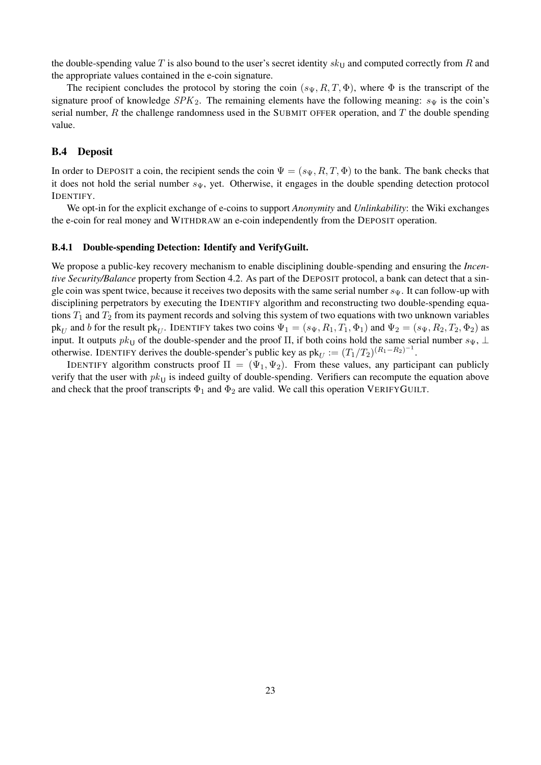the double-spending value T is also bound to the user's secret identity  $sk<sub>U</sub>$  and computed correctly from R and the appropriate values contained in the e-coin signature.

The recipient concludes the protocol by storing the coin  $(s_{\Psi}, R, T, \Phi)$ , where  $\Phi$  is the transcript of the signature proof of knowledge  $SPK<sub>2</sub>$ . The remaining elements have the following meaning:  $s<sub>\Psi</sub>$  is the coin's serial number,  $R$  the challenge randomness used in the SUBMIT OFFER operation, and  $T$  the double spending value.

#### B.4 Deposit

In order to DEPOSIT a coin, the recipient sends the coin  $\Psi = (s_{\Psi}, R, T, \Phi)$  to the bank. The bank checks that it does not hold the serial number  $s_{\Psi}$ , yet. Otherwise, it engages in the double spending detection protocol IDENTIFY.

We opt-in for the explicit exchange of e-coins to support *Anonymity* and *Unlinkability*: the Wiki exchanges the e-coin for real money and WITHDRAW an e-coin independently from the DEPOSIT operation.

#### B.4.1 Double-spending Detection: Identify and VerifyGuilt.

We propose a public-key recovery mechanism to enable disciplining double-spending and ensuring the *Incentive Security/Balance* property from Section 4.2. As part of the DEPOSIT protocol, a bank can detect that a single coin was spent twice, because it receives two deposits with the same serial number  $s_{\Psi}$ . It can follow-up with disciplining perpetrators by executing the IDENTIFY algorithm and reconstructing two double-spending equations  $T_1$  and  $T_2$  from its payment records and solving this system of two equations with two unknown variables pk<sub>U</sub> and b for the result pk<sub>U</sub>. IDENTIFY takes two coins  $\Psi_1 = (s_{\Psi}, R_1, T_1, \Phi_1)$  and  $\Psi_2 = (s_{\Psi}, R_2, T_2, \Phi_2)$  as input. It outputs  $pk_{U}$  of the double-spender and the proof  $\Pi$ , if both coins hold the same serial number  $s_{\Psi}$ ,  $\bot$ otherwise. IDENTIFY derives the double-spender's public key as  $pk_U := (T_1/T_2)^{(R_1 - R_2)^{-1}}$ .

IDENTIFY algorithm constructs proof  $\Pi = (\Psi_1, \Psi_2)$ . From these values, any participant can publicly verify that the user with  $pk_{U}$  is indeed guilty of double-spending. Verifiers can recompute the equation above and check that the proof transcripts  $\Phi_1$  and  $\Phi_2$  are valid. We call this operation VERIFYGUILT.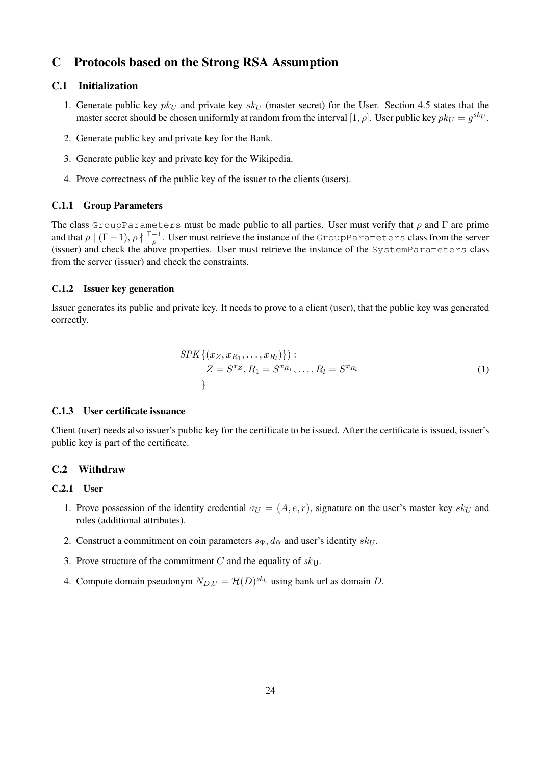# C Protocols based on the Strong RSA Assumption

# C.1 Initialization

- 1. Generate public key  $pk_U$  and private key  $sk_U$  (master secret) for the User. Section 4.5 states that the master secret should be chosen uniformly at random from the interval  $[1, \rho]$ . User public key  $pk_U = g^{sk_U}$ .
- 2. Generate public key and private key for the Bank.
- 3. Generate public key and private key for the Wikipedia.
- 4. Prove correctness of the public key of the issuer to the clients (users).

#### C.1.1 Group Parameters

The class GroupParameters must be made public to all parties. User must verify that  $\rho$  and  $\Gamma$  are prime and that  $\rho \mid (\Gamma - 1), \rho \nmid \frac{\Gamma - 1}{\rho}$  $\frac{-1}{\rho}$ . User must retrieve the instance of the GroupParameters class from the server (issuer) and check the above properties. User must retrieve the instance of the SystemParameters class from the server (issuer) and check the constraints.

#### C.1.2 Issuer key generation

Issuer generates its public and private key. It needs to prove to a client (user), that the public key was generated correctly.

$$
SPK\{(x_Z, x_{R_1}, \dots, x_{R_l})\}):
$$
  
\n
$$
Z = S^{xz}, R_1 = S^{x_{R_1}}, \dots, R_l = S^{x_{R_l}}
$$
  
\n
$$
\}
$$
 (1)

## C.1.3 User certificate issuance

Client (user) needs also issuer's public key for the certificate to be issued. After the certificate is issued, issuer's public key is part of the certificate.

#### C.2 Withdraw

## C.2.1 User

- 1. Prove possession of the identity credential  $\sigma_U = (A, e, r)$ , signature on the user's master key sk<sub>U</sub> and roles (additional attributes).
- 2. Construct a commitment on coin parameters  $s_{\Psi}$ ,  $d_{\Psi}$  and user's identity  $sk_U$ .
- 3. Prove structure of the commitment C and the equality of  $sk_{U}$ .
- 4. Compute domain pseudonym  $N_{D,U} = \mathcal{H}(D)^{sk_U}$  using bank url as domain D.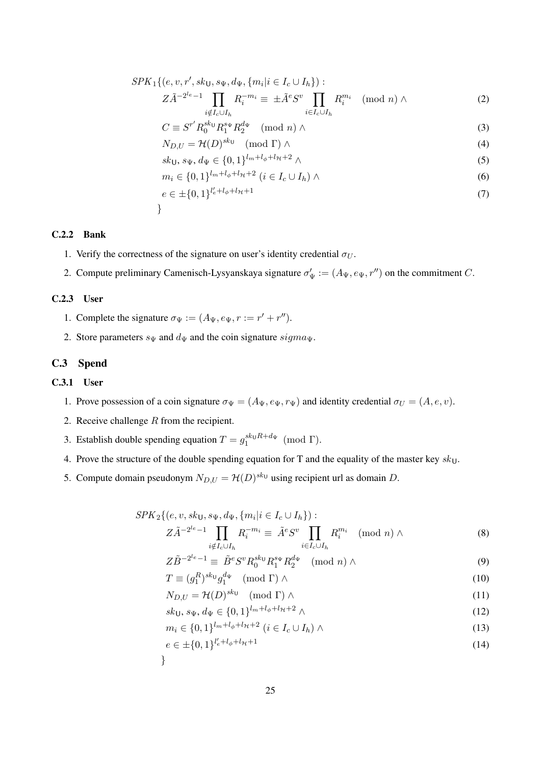$$
SPK_1\{(e, v, r', sk_{\mathsf{U}}, s_{\Psi}, d_{\Psi}, \{m_i|i \in I_c \cup I_h\}):
$$
  

$$
Z\tilde{A}^{-2^{le}-1} \prod_{i \notin I_c \cup I_h} R_i^{-m_i} \equiv \pm \tilde{A}^e S^v \prod_{i \in I_c \cup I_h} R_i^{m_i} \pmod{n} \wedge
$$
 (2)

$$
C \equiv S^{r'} R_0^{sk} R_1^{sk} R_2^{d_{\Psi}} \pmod{n} \wedge \tag{3}
$$

$$
N_{D,U} = \mathcal{H}(D)^{sk_U} \pmod{\Gamma} \wedge \tag{4}
$$

$$
sk_{\mathsf{U}}, s_{\Psi}, d_{\Psi} \in \{0, 1\}^{l_m + l_{\phi} + l_{\mathcal{H}} + 2} \wedge \tag{5}
$$

$$
m_i \in \{0, 1\}^{l_m + l_\phi + l_{\mathcal{H}} + 2} \ (i \in I_c \cup I_h) \land \tag{6}
$$

$$
e \in \pm \{0,1\}^{l'_e + l_\phi + l_\mathcal{H} + 1} \tag{7}
$$

$$
f_{\rm{max}}
$$

}

## C.2.2 Bank

- 1. Verify the correctness of the signature on user's identity credential  $\sigma_U$ .
- 2. Compute preliminary Camenisch-Lysyanskaya signature  $\sigma'_{\Psi} := (A_{\Psi}, e_{\Psi}, r'')$  on the commitment C.

## C.2.3 User

- 1. Complete the signature  $\sigma_{\Psi} := (A_{\Psi}, e_{\Psi}, r := r' + r'').$
- 2. Store parameters  $s_{\Psi}$  and  $d_{\Psi}$  and the coin signature  $sigma_{\Psi}$ .

# C.3 Spend

### C.3.1 User

- 1. Prove possession of a coin signature  $\sigma_{\Psi} = (A_{\Psi}, e_{\Psi}, r_{\Psi})$  and identity credential  $\sigma_U = (A, e, v)$ .
- 2. Receive challenge  $R$  from the recipient.
- 3. Establish double spending equation  $T = g_1^{sk \cup R + d_{\Psi}} \pmod{\Gamma}$ .
- 4. Prove the structure of the double spending equation for T and the equality of the master key  $sk_{U}$ .
- 5. Compute domain pseudonym  $N_{D,U} = \mathcal{H}(D)^{sk_U}$  using recipient url as domain D.

$$
SPK_2\{(e, v, sk_{\mathsf{U}}, s_{\mathsf{V}}, d_{\mathsf{V}}, \{m_i | i \in I_c \cup I_h\}) :
$$
  

$$
Z\tilde{A}^{-2^{l_e}-1} \prod_{i \notin I_c \cup I_h} R_i^{-m_i} \equiv \tilde{A}^e S^v \prod_{i \in I_c \cup I_h} R_i^{m_i} \pmod{n} \wedge
$$
 (8)

$$
Z\tilde{B}^{-2^{l_e}-1} \equiv \tilde{B}^e S^v R_0^{skv} R_1^{s_\Psi} R_2^{d_\Psi} \pmod{n} \wedge \tag{9}
$$

$$
T \equiv (g_1^R)^{sk} \, g_1^{d_\Psi} \pmod{\Gamma} \wedge \tag{10}
$$

$$
N_{D,U} = \mathcal{H}(D)^{sk_{U}} \pmod{\Gamma} \wedge \tag{11}
$$

$$
sk_{\mathsf{U}}, s_{\Psi}, d_{\Psi} \in \{0, 1\}^{l_m + l_{\phi} + l_{\mathcal{H}} + 2} \wedge \tag{12}
$$

$$
m_i \in \{0,1\}^{l_m + l_\phi + l_{\mathcal{H}} + 2} \ (i \in I_c \cup I_h) \land \tag{13}
$$

$$
e \in \pm \{0,1\}^{l_e' + l_\phi + l_\mathcal{H} + 1} \tag{14}
$$

$$
f_{\rm{max}}
$$

}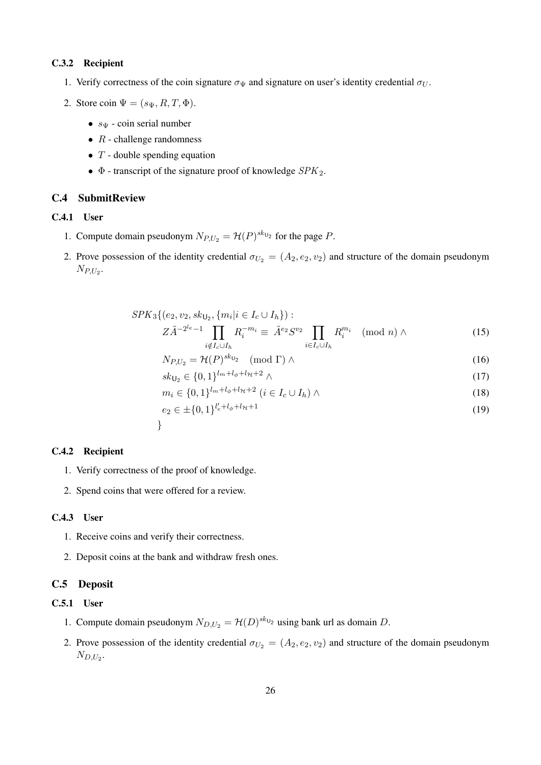#### C.3.2 Recipient

- 1. Verify correctness of the coin signature  $\sigma_{\Psi}$  and signature on user's identity credential  $\sigma_{U}$ .
- 2. Store coin  $\Psi = (s_{\Psi}, R, T, \Phi)$ .
	- $s_{\Psi}$  coin serial number
	- $R$  challenge randomness
	- $T$  double spending equation
	- $\Phi$  transcript of the signature proof of knowledge  $SPK<sub>2</sub>$ .

## C.4 SubmitReview

# C.4.1 User

- 1. Compute domain pseudonym  $N_{P,U_2} = \mathcal{H}(P)^{sk_{U_2}}$  for the page P.
- 2. Prove possession of the identity credential  $\sigma_{U_2} = (A_2, e_2, v_2)$  and structure of the domain pseudonym  $N_{P,U_2}$ .

$$
SPK_{3}\{(e_{2}, v_{2}, sk_{U_{2}}, \{m_{i}|i \in I_{c} \cup I_{h}\}) : Z\tilde{A}^{-2^{l_{e}}-1} \prod_{i \notin I_{c} \cup I_{h}} R_{i}^{-m_{i}} \equiv \tilde{A}^{e_{2}} S^{v_{2}} \prod_{i \in I_{c} \cup I_{h}} R_{i}^{m_{i}} \pmod{n} \wedge
$$
 (15)

$$
N_{P,U_2} = \mathcal{H}(P)^{sk_{U_2}} \pmod{\Gamma} \wedge \tag{16}
$$

$$
sk_{\mathsf{U}_2} \in \{0,1\}^{l_m + l_\phi + l_{\mathcal{H}} + 2} \wedge \tag{17}
$$

$$
m_i \in \{0,1\}^{l_m + l_\phi + l_{\mathcal{H}} + 2} \ (i \in I_c \cup I_h) \land \tag{18}
$$

$$
e_2 \in \pm \{0,1\}^{l'_e + l_\phi + l_{\mathcal{H}} + 1} \tag{19}
$$

C.4.2 Recipient

1. Verify correctness of the proof of knowledge.

}

2. Spend coins that were offered for a review.

#### C.4.3 User

- 1. Receive coins and verify their correctness.
- 2. Deposit coins at the bank and withdraw fresh ones.

## C.5 Deposit

#### C.5.1 User

- 1. Compute domain pseudonym  $N_{D,U_2} = \mathcal{H}(D)^{sk_{U_2}}$  using bank url as domain D.
- 2. Prove possession of the identity credential  $\sigma_{U_2} = (A_2, e_2, v_2)$  and structure of the domain pseudonym  $N_{D,U_2}.$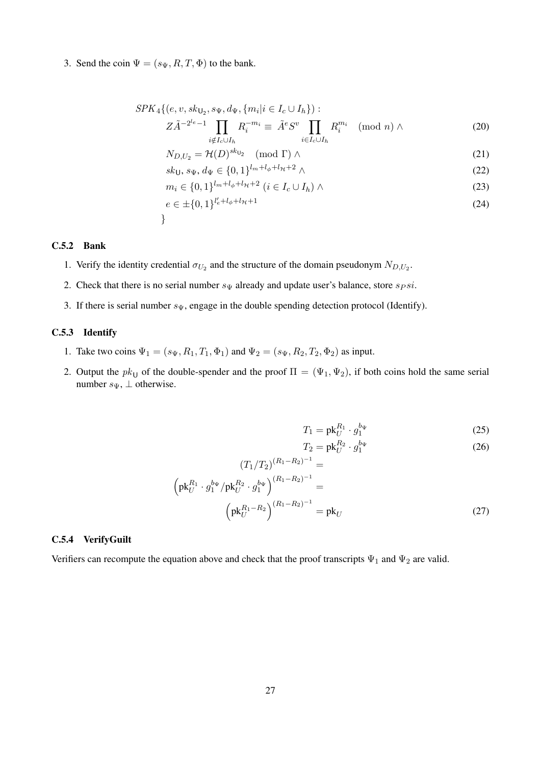3. Send the coin  $\Psi = (s_{\Psi}, R, T, \Phi)$  to the bank.

}

$$
SPK_4\{(e, v, sk_{\mathsf{U}_2}, s_{\Psi}, d_{\Psi}, \{m_i|i \in I_c \cup I_h\}):
$$
  

$$
Z\tilde{A}^{-2^{le}-1} \prod R_i^{-m_i} \equiv \tilde{A}^e S^v \prod R_i^{m_i} \pmod{n} \wedge
$$
 (20)

$$
i \notin I_c \cup I_h \qquad i \in I_c \cup I_h
$$
  

$$
N_{D,U_2} = \mathcal{H}(D)^{sk_{U_2}} \pmod{\Gamma} \wedge \qquad (21)
$$

$$
sk_{\mathsf{U}}, s_{\Psi}, d_{\Psi} \in \{0, 1\}^{l_m + l_{\phi} + l_{\mathcal{H}} + 2} \wedge \tag{22}
$$

$$
m_i \in \{0,1\}^{l_m + l_\phi + l_{\mathcal{H}} + 2} \ (i \in I_c \cup I_h) \land \tag{23}
$$

$$
e \in \pm \{0,1\}^{l'_e + l_\phi + l_\mathcal{H} + 1} \tag{24}
$$

$$
f_{\rm{max}}
$$

# C.5.2 Bank

- 1. Verify the identity credential  $\sigma_{U_2}$  and the structure of the domain pseudonym  $N_{D,U_2}$ .
- 2. Check that there is no serial number  $s_{\Psi}$  already and update user's balance, store  $s_{P}s_i$ .
- 3. If there is serial number  $s_{\Psi}$ , engage in the double spending detection protocol (Identify).

## C.5.3 Identify

- 1. Take two coins  $\Psi_1 = (s_{\Psi}, R_1, T_1, \Phi_1)$  and  $\Psi_2 = (s_{\Psi}, R_2, T_2, \Phi_2)$  as input.
- 2. Output the  $pk_{U}$  of the double-spender and the proof  $\Pi = (\Psi_1, \Psi_2)$ , if both coins hold the same serial number  $s_{\Psi}$ ,  $\perp$  otherwise.

$$
T_1 = \mathrm{pk}_{U}^{R_1} \cdot g_1^{b_\Psi} \tag{25}
$$

$$
T_2 = \mathrm{pk}_{U}^{R_2} \cdot g_1^{b_{\Psi}} \tag{26}
$$

$$
(T_1/T_2)^{(R_1 - R_2)^{-1}} =
$$

$$
\left(\mathbf{p} \mathbf{k}_U^{R_1} \cdot g_1^{b_\Psi} / \mathbf{p} \mathbf{k}_U^{R_2} \cdot g_1^{b_\Psi}\right)^{(R_1 - R_2)^{-1}} =
$$

$$
\left(\mathbf{p} \mathbf{k}_U^{R_1 - R_2}\right)^{(R_1 - R_2)^{-1}} = \mathbf{p} \mathbf{k}_U
$$
(27)

# C.5.4 VerifyGuilt

Verifiers can recompute the equation above and check that the proof transcripts  $\Psi_1$  and  $\Psi_2$  are valid.